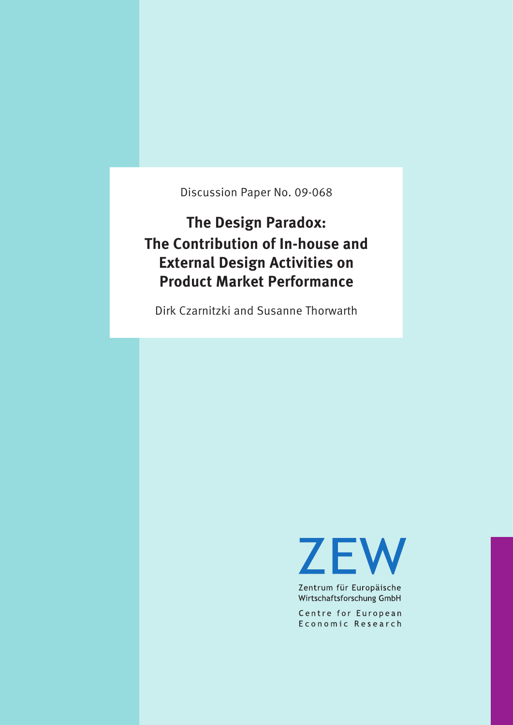Discussion Paper No. 09-068

**The Design Paradox: The Contribution of In-house and External Design Activities on Product Market Performance**

Dirk Czarnitzki and Susanne Thorwarth

**ZEW** 

Zentrum für Europäische Wirtschaftsforschung GmbH

Centre for European Economic Research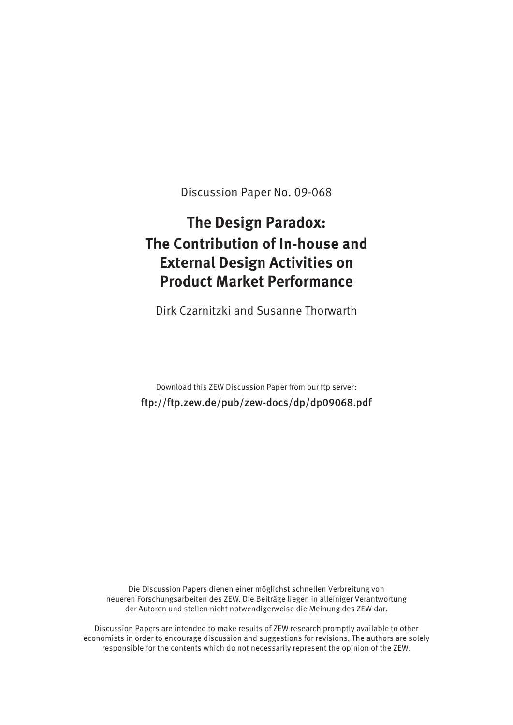Discussion Paper No. 09-068

# **The Design Paradox: The Contribution of In-house and External Design Activities on Product Market Performance**

Dirk Czarnitzki and Susanne Thorwarth

Download this ZEW Discussion Paper from our ftp server: ftp://ftp.zew.de/pub/zew-docs/dp/dp09068.pdf

Die Discussion Papers dienen einer möglichst schnellen Verbreitung von neueren Forschungsarbeiten des ZEW. Die Beiträge liegen in alleiniger Verantwortung der Autoren und stellen nicht notwendigerweise die Meinung des ZEW dar.

Discussion Papers are intended to make results of ZEW research promptly available to other economists in order to encourage discussion and suggestions for revisions. The authors are solely responsible for the contents which do not necessarily represent the opinion of the ZEW.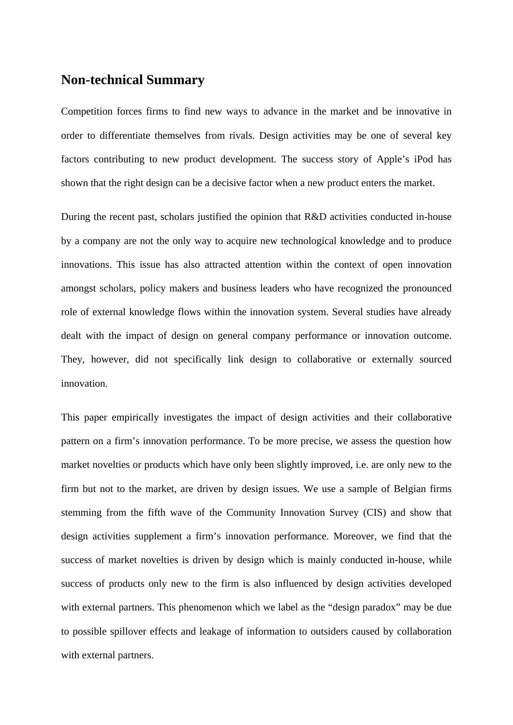### **Non-technical Summary**

Competition forces firms to find new ways to advance in the market and be innovative in order to differentiate themselves from rivals. Design activities may be one of several key factors contributing to new product development. The success story of Apple's iPod has shown that the right design can be a decisive factor when a new product enters the market.

During the recent past, scholars justified the opinion that R&D activities conducted in-house by a company are not the only way to acquire new technological knowledge and to produce innovations. This issue has also attracted attention within the context of open innovation amongst scholars, policy makers and business leaders who have recognized the pronounced role of external knowledge flows within the innovation system. Several studies have already dealt with the impact of design on general company performance or innovation outcome. They, however, did not specifically link design to collaborative or externally sourced innovation.

This paper empirically investigates the impact of design activities and their collaborative pattern on a firm's innovation performance. To be more precise, we assess the question how market novelties or products which have only been slightly improved, i.e. are only new to the firm but not to the market, are driven by design issues. We use a sample of Belgian firms stemming from the fifth wave of the Community Innovation Survey (CIS) and show that design activities supplement a firm's innovation performance. Moreover, we find that the success of market novelties is driven by design which is mainly conducted in-house, while success of products only new to the firm is also influenced by design activities developed with external partners. This phenomenon which we label as the "design paradox" may be due to possible spillover effects and leakage of information to outsiders caused by collaboration with external partners.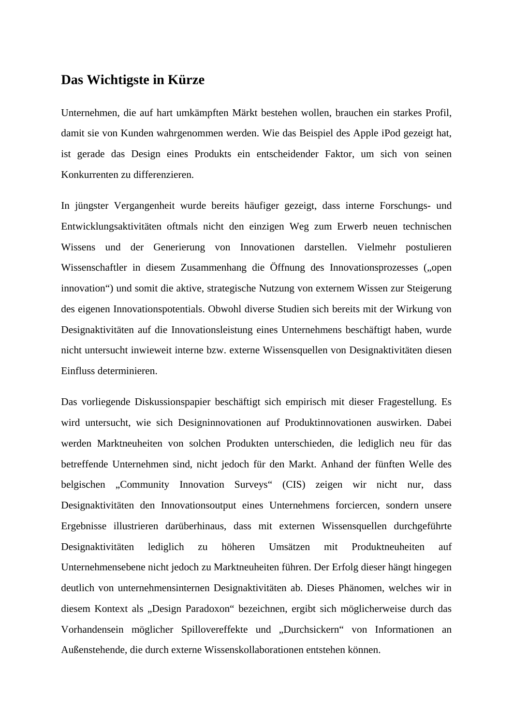### **Das Wichtigste in Kürze**

Unternehmen, die auf hart umkämpften Märkt bestehen wollen, brauchen ein starkes Profil, damit sie von Kunden wahrgenommen werden. Wie das Beispiel des Apple iPod gezeigt hat, ist gerade das Design eines Produkts ein entscheidender Faktor, um sich von seinen Konkurrenten zu differenzieren.

In jüngster Vergangenheit wurde bereits häufiger gezeigt, dass interne Forschungs- und Entwicklungsaktivitäten oftmals nicht den einzigen Weg zum Erwerb neuen technischen Wissens und der Generierung von Innovationen darstellen. Vielmehr postulieren Wissenschaftler in diesem Zusammenhang die Öffnung des Innovationsprozesses ("open innovation") und somit die aktive, strategische Nutzung von externem Wissen zur Steigerung des eigenen Innovationspotentials. Obwohl diverse Studien sich bereits mit der Wirkung von Designaktivitäten auf die Innovationsleistung eines Unternehmens beschäftigt haben, wurde nicht untersucht inwieweit interne bzw. externe Wissensquellen von Designaktivitäten diesen Einfluss determinieren.

Das vorliegende Diskussionspapier beschäftigt sich empirisch mit dieser Fragestellung. Es wird untersucht, wie sich Designinnovationen auf Produktinnovationen auswirken. Dabei werden Marktneuheiten von solchen Produkten unterschieden, die lediglich neu für das betreffende Unternehmen sind, nicht jedoch für den Markt. Anhand der fünften Welle des belgischen "Community Innovation Surveys" (CIS) zeigen wir nicht nur, dass Designaktivitäten den Innovationsoutput eines Unternehmens forciercen, sondern unsere Ergebnisse illustrieren darüberhinaus, dass mit externen Wissensquellen durchgeführte Designaktivitäten lediglich zu höheren Umsätzen mit Produktneuheiten auf Unternehmensebene nicht jedoch zu Marktneuheiten führen. Der Erfolg dieser hängt hingegen deutlich von unternehmensinternen Designaktivitäten ab. Dieses Phänomen, welches wir in diesem Kontext als "Design Paradoxon" bezeichnen, ergibt sich möglicherweise durch das Vorhandensein möglicher Spillovereffekte und "Durchsickern" von Informationen an Außenstehende, die durch externe Wissenskollaborationen entstehen können.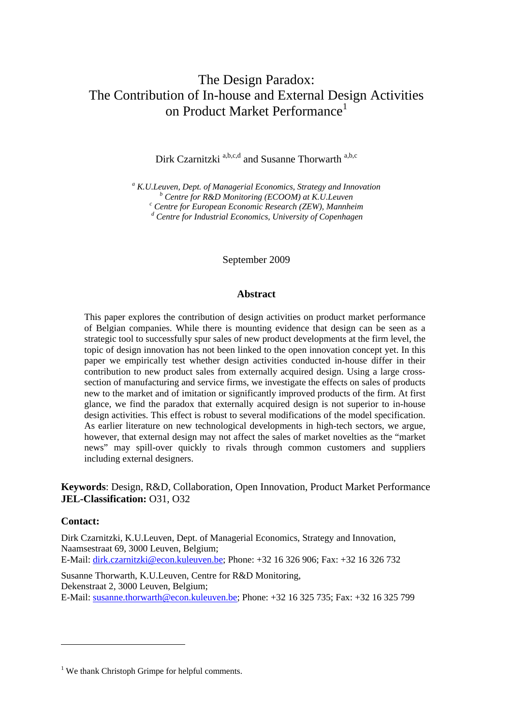### The Design Paradox: The Contribution of In-house and External Design Activities on Product Market Performance<sup>1</sup>

Dirk Czarnitzki<sup>a,b,c,d</sup> and Susanne Thorwarth<sup>a,b,c</sup>

<sup>a</sup> *K.U.Leuven, Dept. of Managerial Economics, Strategy and Innovation*<br> *b* Cantre for **B** *P.D.Monitoring (ECOOM) at K II Lauven Centre for R&D Monitoring (ECOOM) at K.U.Leuven c Centre for European Economic Research (ZEW), Mannheim d Centre for Industrial Economics, University of Copenhagen* 

September 2009

#### **Abstract**

This paper explores the contribution of design activities on product market performance of Belgian companies. While there is mounting evidence that design can be seen as a strategic tool to successfully spur sales of new product developments at the firm level, the topic of design innovation has not been linked to the open innovation concept yet. In this paper we empirically test whether design activities conducted in-house differ in their contribution to new product sales from externally acquired design. Using a large crosssection of manufacturing and service firms, we investigate the effects on sales of products new to the market and of imitation or significantly improved products of the firm. At first glance, we find the paradox that externally acquired design is not superior to in-house design activities. This effect is robust to several modifications of the model specification. As earlier literature on new technological developments in high-tech sectors, we argue, however, that external design may not affect the sales of market novelties as the "market news" may spill-over quickly to rivals through common customers and suppliers including external designers.

#### **Keywords**: Design, R&D, Collaboration, Open Innovation, Product Market Performance **JEL-Classification:** O31, O32

#### **Contact:**

1

Dirk Czarnitzki, K.U.Leuven, Dept. of Managerial Economics, Strategy and Innovation, Naamsestraat 69, 3000 Leuven, Belgium; E-Mail: dirk.czarnitzki@econ.kuleuven.be; Phone: +32 16 326 906; Fax: +32 16 326 732

Susanne Thorwarth, K.U.Leuven, Centre for R&D Monitoring, Dekenstraat 2, 3000 Leuven, Belgium; E-Mail: susanne.thorwarth@econ.kuleuven.be; Phone: +32 16 325 735; Fax: +32 16 325 799

<sup>&</sup>lt;sup>1</sup> We thank Christoph Grimpe for helpful comments.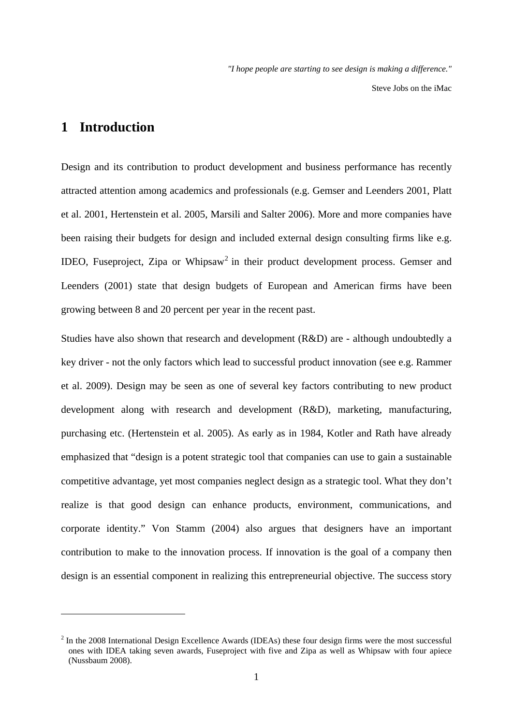Steve Jobs on the iMac

### **1 Introduction**

1

Design and its contribution to product development and business performance has recently attracted attention among academics and professionals (e.g. Gemser and Leenders 2001, Platt et al. 2001, Hertenstein et al. 2005, Marsili and Salter 2006). More and more companies have been raising their budgets for design and included external design consulting firms like e.g. IDEO, Fuseproject, Zipa or Whipsaw<sup>2</sup> in their product development process. Gemser and Leenders (2001) state that design budgets of European and American firms have been growing between 8 and 20 percent per year in the recent past.

Studies have also shown that research and development (R&D) are - although undoubtedly a key driver - not the only factors which lead to successful product innovation (see e.g. Rammer et al. 2009). Design may be seen as one of several key factors contributing to new product development along with research and development (R&D), marketing, manufacturing, purchasing etc. (Hertenstein et al. 2005). As early as in 1984, Kotler and Rath have already emphasized that "design is a potent strategic tool that companies can use to gain a sustainable competitive advantage, yet most companies neglect design as a strategic tool. What they don't realize is that good design can enhance products, environment, communications, and corporate identity." Von Stamm (2004) also argues that designers have an important contribution to make to the innovation process. If innovation is the goal of a company then design is an essential component in realizing this entrepreneurial objective. The success story

 $2$  In the 2008 International Design Excellence Awards (IDEAs) these four design firms were the most successful ones with IDEA taking seven awards, Fuseproject with five and Zipa as well as Whipsaw with four apiece (Nussbaum 2008).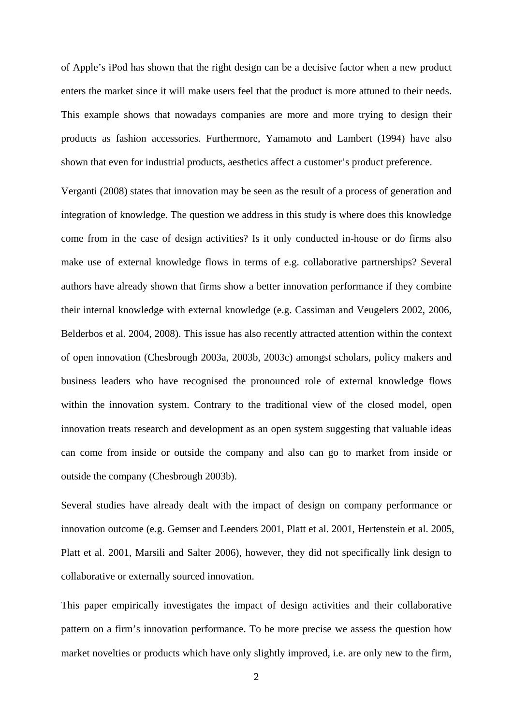of Apple's iPod has shown that the right design can be a decisive factor when a new product enters the market since it will make users feel that the product is more attuned to their needs. This example shows that nowadays companies are more and more trying to design their products as fashion accessories. Furthermore, Yamamoto and Lambert (1994) have also shown that even for industrial products, aesthetics affect a customer's product preference.

Verganti (2008) states that innovation may be seen as the result of a process of generation and integration of knowledge. The question we address in this study is where does this knowledge come from in the case of design activities? Is it only conducted in-house or do firms also make use of external knowledge flows in terms of e.g. collaborative partnerships? Several authors have already shown that firms show a better innovation performance if they combine their internal knowledge with external knowledge (e.g. Cassiman and Veugelers 2002, 2006, Belderbos et al. 2004, 2008). This issue has also recently attracted attention within the context of open innovation (Chesbrough 2003a, 2003b, 2003c) amongst scholars, policy makers and business leaders who have recognised the pronounced role of external knowledge flows within the innovation system. Contrary to the traditional view of the closed model, open innovation treats research and development as an open system suggesting that valuable ideas can come from inside or outside the company and also can go to market from inside or outside the company (Chesbrough 2003b).

Several studies have already dealt with the impact of design on company performance or innovation outcome (e.g. Gemser and Leenders 2001, Platt et al. 2001, Hertenstein et al. 2005, Platt et al. 2001, Marsili and Salter 2006), however, they did not specifically link design to collaborative or externally sourced innovation.

This paper empirically investigates the impact of design activities and their collaborative pattern on a firm's innovation performance. To be more precise we assess the question how market novelties or products which have only slightly improved, i.e. are only new to the firm,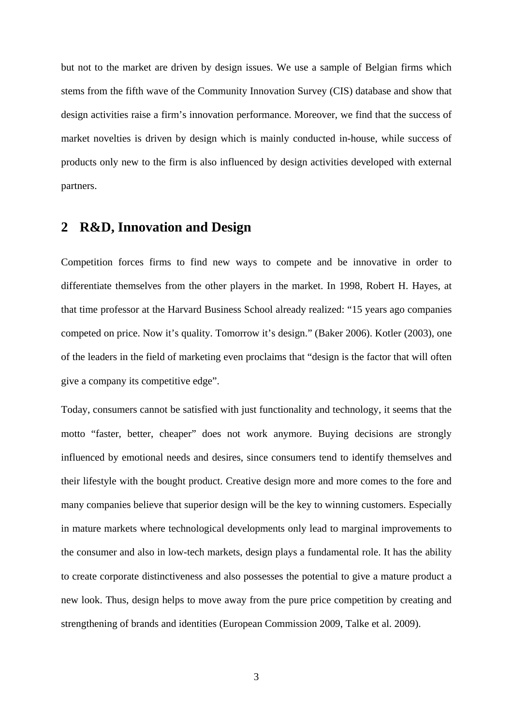but not to the market are driven by design issues. We use a sample of Belgian firms which stems from the fifth wave of the Community Innovation Survey (CIS) database and show that design activities raise a firm's innovation performance. Moreover, we find that the success of market novelties is driven by design which is mainly conducted in-house, while success of products only new to the firm is also influenced by design activities developed with external partners.

### **2 R&D, Innovation and Design**

Competition forces firms to find new ways to compete and be innovative in order to differentiate themselves from the other players in the market. In 1998, Robert H. Hayes, at that time professor at the Harvard Business School already realized: "15 years ago companies competed on price. Now it's quality. Tomorrow it's design." (Baker 2006). Kotler (2003), one of the leaders in the field of marketing even proclaims that "design is the factor that will often give a company its competitive edge".

Today, consumers cannot be satisfied with just functionality and technology, it seems that the motto "faster, better, cheaper" does not work anymore. Buying decisions are strongly influenced by emotional needs and desires, since consumers tend to identify themselves and their lifestyle with the bought product. Creative design more and more comes to the fore and many companies believe that superior design will be the key to winning customers. Especially in mature markets where technological developments only lead to marginal improvements to the consumer and also in low-tech markets, design plays a fundamental role. It has the ability to create corporate distinctiveness and also possesses the potential to give a mature product a new look. Thus, design helps to move away from the pure price competition by creating and strengthening of brands and identities (European Commission 2009, Talke et al. 2009).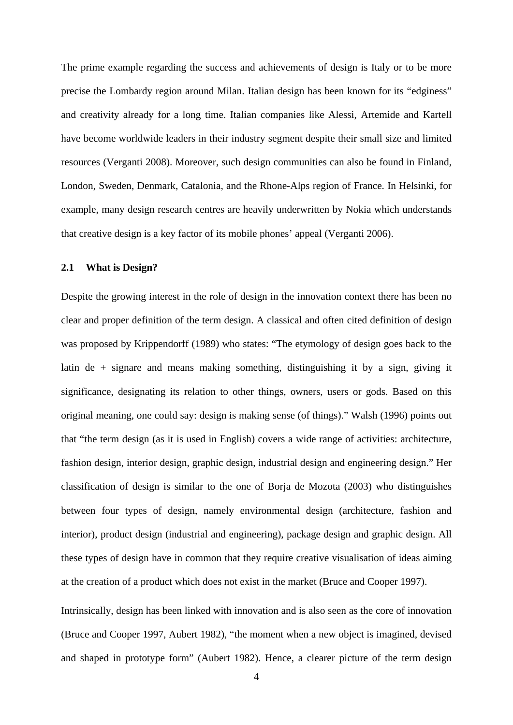The prime example regarding the success and achievements of design is Italy or to be more precise the Lombardy region around Milan. Italian design has been known for its "edginess" and creativity already for a long time. Italian companies like Alessi, Artemide and Kartell have become worldwide leaders in their industry segment despite their small size and limited resources (Verganti 2008). Moreover, such design communities can also be found in Finland, London, Sweden, Denmark, Catalonia, and the Rhone-Alps region of France. In Helsinki, for example, many design research centres are heavily underwritten by Nokia which understands that creative design is a key factor of its mobile phones' appeal (Verganti 2006).

#### **2.1 What is Design?**

Despite the growing interest in the role of design in the innovation context there has been no clear and proper definition of the term design. A classical and often cited definition of design was proposed by Krippendorff (1989) who states: "The etymology of design goes back to the latin de + signare and means making something, distinguishing it by a sign, giving it significance, designating its relation to other things, owners, users or gods. Based on this original meaning, one could say: design is making sense (of things)." Walsh (1996) points out that "the term design (as it is used in English) covers a wide range of activities: architecture, fashion design, interior design, graphic design, industrial design and engineering design." Her classification of design is similar to the one of Borja de Mozota (2003) who distinguishes between four types of design, namely environmental design (architecture, fashion and interior), product design (industrial and engineering), package design and graphic design. All these types of design have in common that they require creative visualisation of ideas aiming at the creation of a product which does not exist in the market (Bruce and Cooper 1997).

Intrinsically, design has been linked with innovation and is also seen as the core of innovation (Bruce and Cooper 1997, Aubert 1982), "the moment when a new object is imagined, devised and shaped in prototype form" (Aubert 1982). Hence, a clearer picture of the term design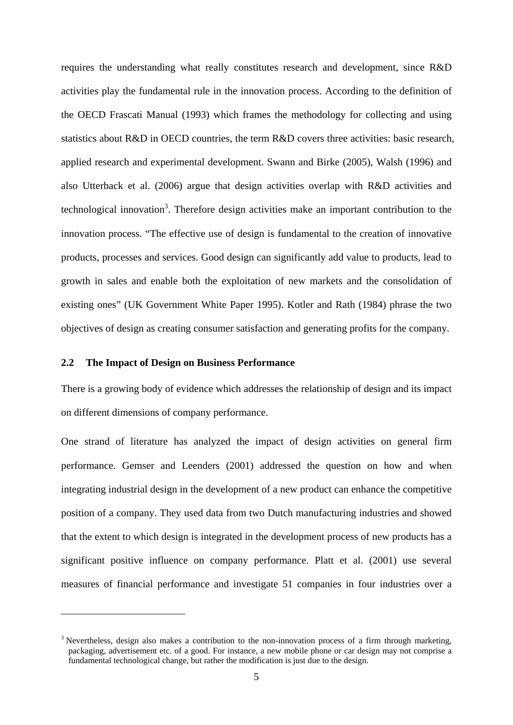requires the understanding what really constitutes research and development, since R&D activities play the fundamental rule in the innovation process. According to the definition of the OECD Frascati Manual (1993) which frames the methodology for collecting and using statistics about R&D in OECD countries, the term R&D covers three activities: basic research, applied research and experimental development. Swann and Birke (2005), Walsh (1996) and also Utterback et al. (2006) argue that design activities overlap with R&D activities and technological innovation<sup>3</sup>. Therefore design activities make an important contribution to the innovation process. "The effective use of design is fundamental to the creation of innovative products, processes and services. Good design can significantly add value to products, lead to growth in sales and enable both the exploitation of new markets and the consolidation of existing ones" (UK Government White Paper 1995). Kotler and Rath (1984) phrase the two objectives of design as creating consumer satisfaction and generating profits for the company.

#### **2.2 The Impact of Design on Business Performance**

1

There is a growing body of evidence which addresses the relationship of design and its impact on different dimensions of company performance.

One strand of literature has analyzed the impact of design activities on general firm performance. Gemser and Leenders (2001) addressed the question on how and when integrating industrial design in the development of a new product can enhance the competitive position of a company. They used data from two Dutch manufacturing industries and showed that the extent to which design is integrated in the development process of new products has a significant positive influence on company performance. Platt et al. (2001) use several measures of financial performance and investigate 51 companies in four industries over a

<sup>&</sup>lt;sup>3</sup> Nevertheless, design also makes a contribution to the non-innovation process of a firm through marketing, packaging, advertisement etc. of a good. For instance, a new mobile phone or car design may not comprise a fundamental technological change, but rather the modification is just due to the design.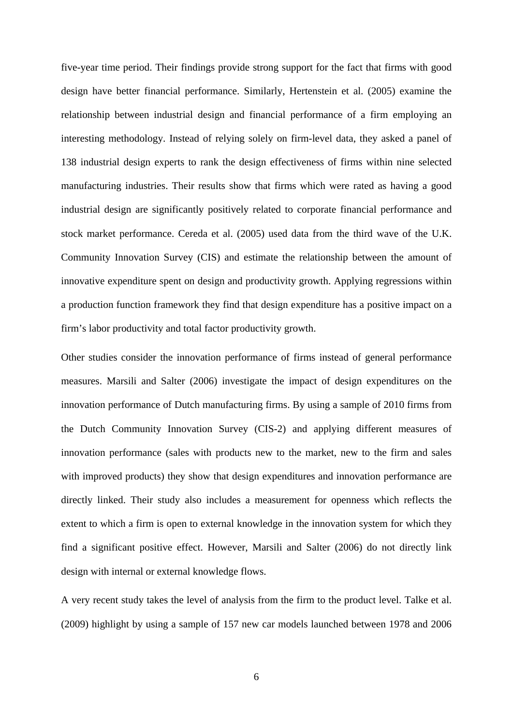five-year time period. Their findings provide strong support for the fact that firms with good design have better financial performance. Similarly, Hertenstein et al. (2005) examine the relationship between industrial design and financial performance of a firm employing an interesting methodology. Instead of relying solely on firm-level data, they asked a panel of 138 industrial design experts to rank the design effectiveness of firms within nine selected manufacturing industries. Their results show that firms which were rated as having a good industrial design are significantly positively related to corporate financial performance and stock market performance. Cereda et al. (2005) used data from the third wave of the U.K. Community Innovation Survey (CIS) and estimate the relationship between the amount of innovative expenditure spent on design and productivity growth. Applying regressions within a production function framework they find that design expenditure has a positive impact on a firm's labor productivity and total factor productivity growth.

Other studies consider the innovation performance of firms instead of general performance measures. Marsili and Salter (2006) investigate the impact of design expenditures on the innovation performance of Dutch manufacturing firms. By using a sample of 2010 firms from the Dutch Community Innovation Survey (CIS-2) and applying different measures of innovation performance (sales with products new to the market, new to the firm and sales with improved products) they show that design expenditures and innovation performance are directly linked. Their study also includes a measurement for openness which reflects the extent to which a firm is open to external knowledge in the innovation system for which they find a significant positive effect. However, Marsili and Salter (2006) do not directly link design with internal or external knowledge flows.

A very recent study takes the level of analysis from the firm to the product level. Talke et al. (2009) highlight by using a sample of 157 new car models launched between 1978 and 2006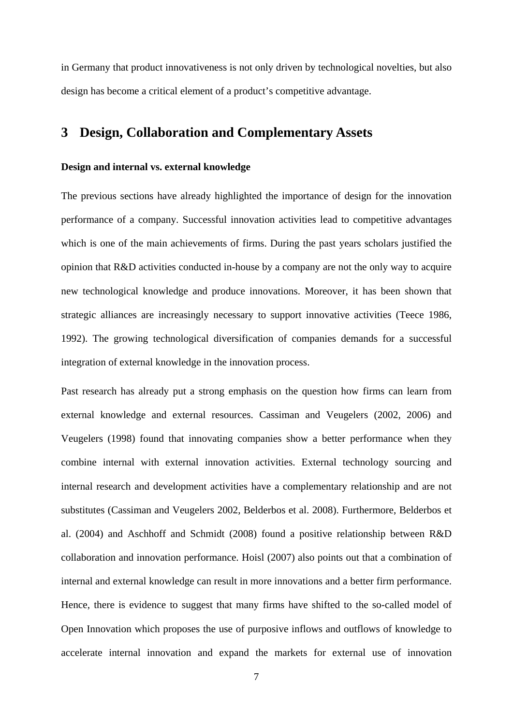in Germany that product innovativeness is not only driven by technological novelties, but also design has become a critical element of a product's competitive advantage.

### **3 Design, Collaboration and Complementary Assets**

#### **Design and internal vs. external knowledge**

The previous sections have already highlighted the importance of design for the innovation performance of a company. Successful innovation activities lead to competitive advantages which is one of the main achievements of firms. During the past years scholars justified the opinion that R&D activities conducted in-house by a company are not the only way to acquire new technological knowledge and produce innovations. Moreover, it has been shown that strategic alliances are increasingly necessary to support innovative activities (Teece 1986, 1992). The growing technological diversification of companies demands for a successful integration of external knowledge in the innovation process.

Past research has already put a strong emphasis on the question how firms can learn from external knowledge and external resources. Cassiman and Veugelers (2002, 2006) and Veugelers (1998) found that innovating companies show a better performance when they combine internal with external innovation activities. External technology sourcing and internal research and development activities have a complementary relationship and are not substitutes (Cassiman and Veugelers 2002, Belderbos et al. 2008). Furthermore, Belderbos et al. (2004) and Aschhoff and Schmidt (2008) found a positive relationship between R&D collaboration and innovation performance. Hoisl (2007) also points out that a combination of internal and external knowledge can result in more innovations and a better firm performance. Hence, there is evidence to suggest that many firms have shifted to the so-called model of Open Innovation which proposes the use of purposive inflows and outflows of knowledge to accelerate internal innovation and expand the markets for external use of innovation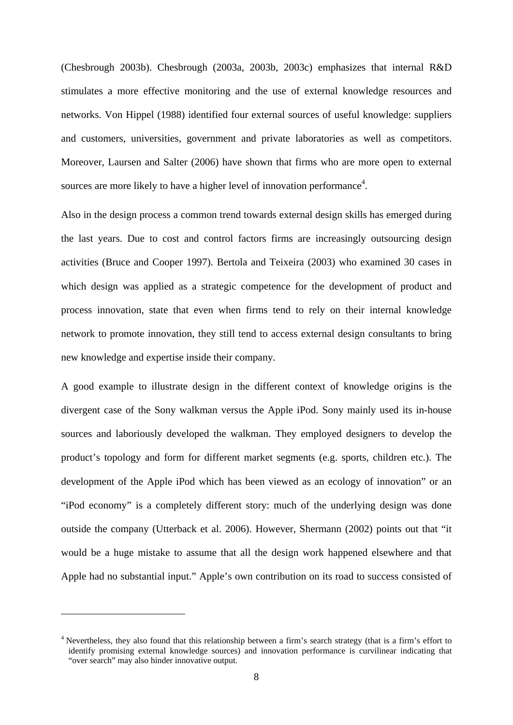(Chesbrough 2003b). Chesbrough (2003a, 2003b, 2003c) emphasizes that internal R&D stimulates a more effective monitoring and the use of external knowledge resources and networks. Von Hippel (1988) identified four external sources of useful knowledge: suppliers and customers, universities, government and private laboratories as well as competitors. Moreover, Laursen and Salter (2006) have shown that firms who are more open to external sources are more likely to have a higher level of innovation performance<sup>4</sup>.

Also in the design process a common trend towards external design skills has emerged during the last years. Due to cost and control factors firms are increasingly outsourcing design activities (Bruce and Cooper 1997). Bertola and Teixeira (2003) who examined 30 cases in which design was applied as a strategic competence for the development of product and process innovation, state that even when firms tend to rely on their internal knowledge network to promote innovation, they still tend to access external design consultants to bring new knowledge and expertise inside their company.

A good example to illustrate design in the different context of knowledge origins is the divergent case of the Sony walkman versus the Apple iPod. Sony mainly used its in-house sources and laboriously developed the walkman. They employed designers to develop the product's topology and form for different market segments (e.g. sports, children etc.). The development of the Apple iPod which has been viewed as an ecology of innovation" or an "iPod economy" is a completely different story: much of the underlying design was done outside the company (Utterback et al. 2006). However, Shermann (2002) points out that "it would be a huge mistake to assume that all the design work happened elsewhere and that Apple had no substantial input." Apple's own contribution on its road to success consisted of

1

<sup>&</sup>lt;sup>4</sup> Nevertheless, they also found that this relationship between a firm's search strategy (that is a firm's effort to identify promising external knowledge sources) and innovation performance is curvilinear indicating that "over search" may also hinder innovative output.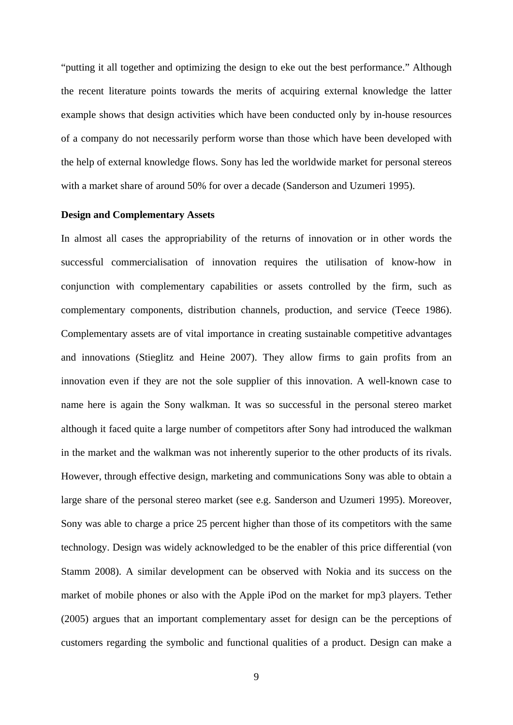"putting it all together and optimizing the design to eke out the best performance." Although the recent literature points towards the merits of acquiring external knowledge the latter example shows that design activities which have been conducted only by in-house resources of a company do not necessarily perform worse than those which have been developed with the help of external knowledge flows. Sony has led the worldwide market for personal stereos with a market share of around 50% for over a decade (Sanderson and Uzumeri 1995).

#### **Design and Complementary Assets**

In almost all cases the appropriability of the returns of innovation or in other words the successful commercialisation of innovation requires the utilisation of know-how in conjunction with complementary capabilities or assets controlled by the firm, such as complementary components, distribution channels, production, and service (Teece 1986). Complementary assets are of vital importance in creating sustainable competitive advantages and innovations (Stieglitz and Heine 2007). They allow firms to gain profits from an innovation even if they are not the sole supplier of this innovation. A well-known case to name here is again the Sony walkman. It was so successful in the personal stereo market although it faced quite a large number of competitors after Sony had introduced the walkman in the market and the walkman was not inherently superior to the other products of its rivals. However, through effective design, marketing and communications Sony was able to obtain a large share of the personal stereo market (see e.g. Sanderson and Uzumeri 1995). Moreover, Sony was able to charge a price 25 percent higher than those of its competitors with the same technology. Design was widely acknowledged to be the enabler of this price differential (von Stamm 2008). A similar development can be observed with Nokia and its success on the market of mobile phones or also with the Apple iPod on the market for mp3 players. Tether (2005) argues that an important complementary asset for design can be the perceptions of customers regarding the symbolic and functional qualities of a product. Design can make a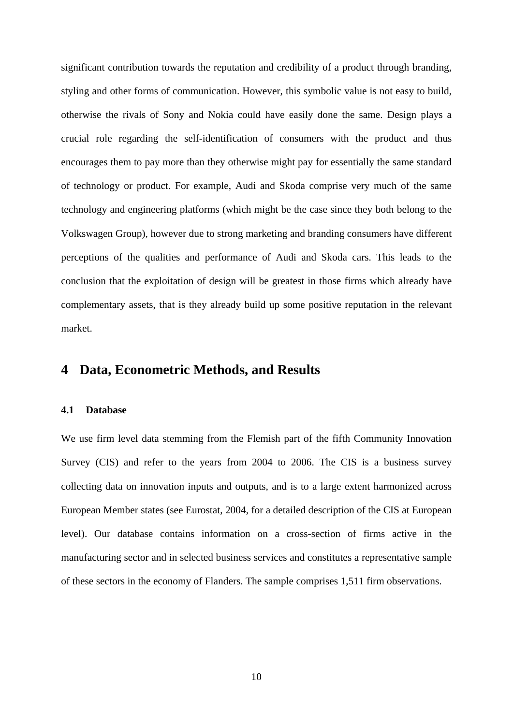significant contribution towards the reputation and credibility of a product through branding, styling and other forms of communication. However, this symbolic value is not easy to build, otherwise the rivals of Sony and Nokia could have easily done the same. Design plays a crucial role regarding the self-identification of consumers with the product and thus encourages them to pay more than they otherwise might pay for essentially the same standard of technology or product. For example, Audi and Skoda comprise very much of the same technology and engineering platforms (which might be the case since they both belong to the Volkswagen Group), however due to strong marketing and branding consumers have different perceptions of the qualities and performance of Audi and Skoda cars. This leads to the conclusion that the exploitation of design will be greatest in those firms which already have complementary assets, that is they already build up some positive reputation in the relevant market.

### **4 Data, Econometric Methods, and Results**

#### **4.1 Database**

We use firm level data stemming from the Flemish part of the fifth Community Innovation Survey (CIS) and refer to the years from 2004 to 2006. The CIS is a business survey collecting data on innovation inputs and outputs, and is to a large extent harmonized across European Member states (see Eurostat, 2004, for a detailed description of the CIS at European level). Our database contains information on a cross-section of firms active in the manufacturing sector and in selected business services and constitutes a representative sample of these sectors in the economy of Flanders. The sample comprises 1,511 firm observations.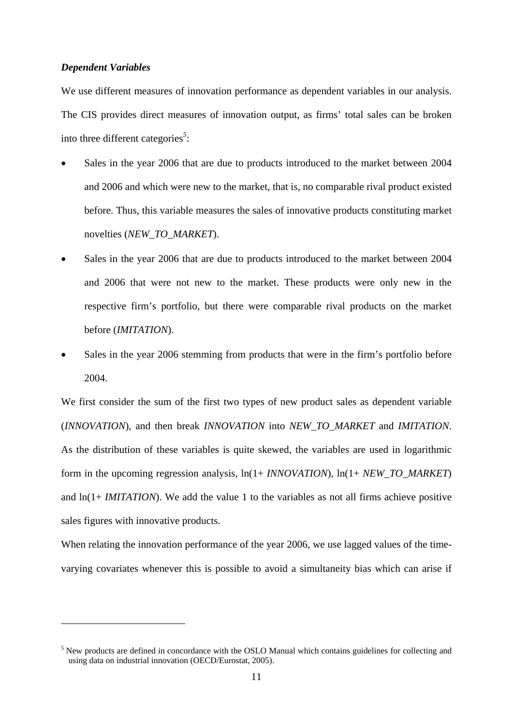#### *Dependent Variables*

1

We use different measures of innovation performance as dependent variables in our analysis. The CIS provides direct measures of innovation output, as firms' total sales can be broken into three different categories*<sup>5</sup>* :

- Sales in the year 2006 that are due to products introduced to the market between 2004 and 2006 and which were new to the market, that is, no comparable rival product existed before. Thus, this variable measures the sales of innovative products constituting market novelties (*NEW\_TO\_MARKET*).
- Sales in the year 2006 that are due to products introduced to the market between 2004 and 2006 that were not new to the market. These products were only new in the respective firm's portfolio, but there were comparable rival products on the market before (*IMITATION*).
- Sales in the year 2006 stemming from products that were in the firm's portfolio before 2004.

We first consider the sum of the first two types of new product sales as dependent variable (*INNOVATION*), and then break *INNOVATION* into *NEW\_TO\_MARKET* and *IMITATION*. As the distribution of these variables is quite skewed, the variables are used in logarithmic form in the upcoming regression analysis, ln(1+ *INNOVATION*), ln(1+ *NEW\_TO\_MARKET*) and ln(1+ *IMITATION*). We add the value 1 to the variables as not all firms achieve positive sales figures with innovative products.

When relating the innovation performance of the year 2006, we use lagged values of the timevarying covariates whenever this is possible to avoid a simultaneity bias which can arise if

<sup>&</sup>lt;sup>5</sup> New products are defined in concordance with the OSLO Manual which contains guidelines for collecting and using data on industrial innovation (OECD/Eurostat, 2005).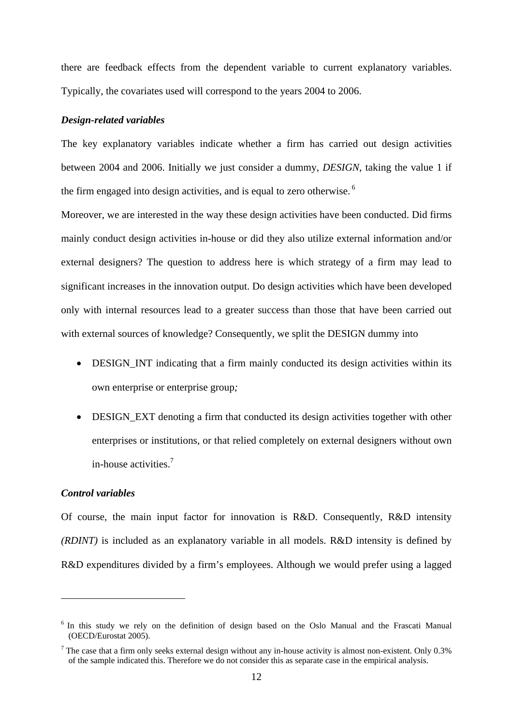there are feedback effects from the dependent variable to current explanatory variables. Typically, the covariates used will correspond to the years 2004 to 2006.

#### *Design-related variables*

The key explanatory variables indicate whether a firm has carried out design activities between 2004 and 2006. Initially we just consider a dummy, *DESIGN*, taking the value 1 if the firm engaged into design activities, and is equal to zero otherwise.<sup>6</sup>

Moreover, we are interested in the way these design activities have been conducted. Did firms mainly conduct design activities in-house or did they also utilize external information and/or external designers? The question to address here is which strategy of a firm may lead to significant increases in the innovation output. Do design activities which have been developed only with internal resources lead to a greater success than those that have been carried out with external sources of knowledge? Consequently, we split the DESIGN dummy into

- DESIGN INT indicating that a firm mainly conducted its design activities within its own enterprise or enterprise group*;*
- DESIGN\_EXT denoting a firm that conducted its design activities together with other enterprises or institutions, or that relied completely on external designers without own in-house activities.7

#### *Control variables*

1

Of course, the main input factor for innovation is R&D. Consequently, R&D intensity *(RDINT)* is included as an explanatory variable in all models. R&D intensity is defined by R&D expenditures divided by a firm's employees. Although we would prefer using a lagged

<sup>&</sup>lt;sup>6</sup> In this study we rely on the definition of design based on the Oslo Manual and the Frascati Manual (OECD/Eurostat 2005).

<sup>&</sup>lt;sup>7</sup> The case that a firm only seeks external design without any in-house activity is almost non-existent. Only  $0.3\%$ of the sample indicated this. Therefore we do not consider this as separate case in the empirical analysis.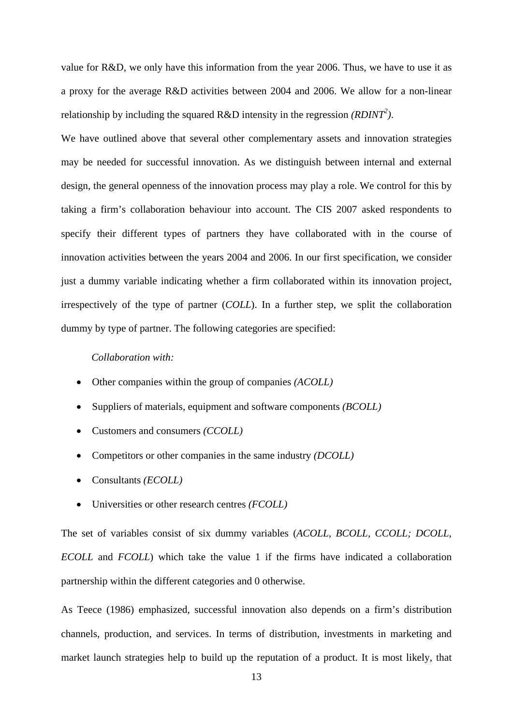value for R&D, we only have this information from the year 2006. Thus, we have to use it as a proxy for the average R&D activities between 2004 and 2006. We allow for a non-linear relationship by including the squared R&D intensity in the regression *(RDINT<sup>2</sup>)*.

We have outlined above that several other complementary assets and innovation strategies may be needed for successful innovation. As we distinguish between internal and external design, the general openness of the innovation process may play a role. We control for this by taking a firm's collaboration behaviour into account. The CIS 2007 asked respondents to specify their different types of partners they have collaborated with in the course of innovation activities between the years 2004 and 2006. In our first specification, we consider just a dummy variable indicating whether a firm collaborated within its innovation project, irrespectively of the type of partner (*COLL*). In a further step, we split the collaboration dummy by type of partner. The following categories are specified:

#### *Collaboration with:*

- Other companies within the group of companies *(ACOLL)*
- Suppliers of materials, equipment and software components *(BCOLL)*
- Customers and consumers *(CCOLL)*
- Competitors or other companies in the same industry *(DCOLL)*
- Consultants *(ECOLL)*
- Universities or other research centres *(FCOLL)*

The set of variables consist of six dummy variables (*ACOLL, BCOLL, CCOLL; DCOLL, ECOLL* and *FCOLL*) which take the value 1 if the firms have indicated a collaboration partnership within the different categories and 0 otherwise.

As Teece (1986) emphasized, successful innovation also depends on a firm's distribution channels, production, and services. In terms of distribution, investments in marketing and market launch strategies help to build up the reputation of a product. It is most likely, that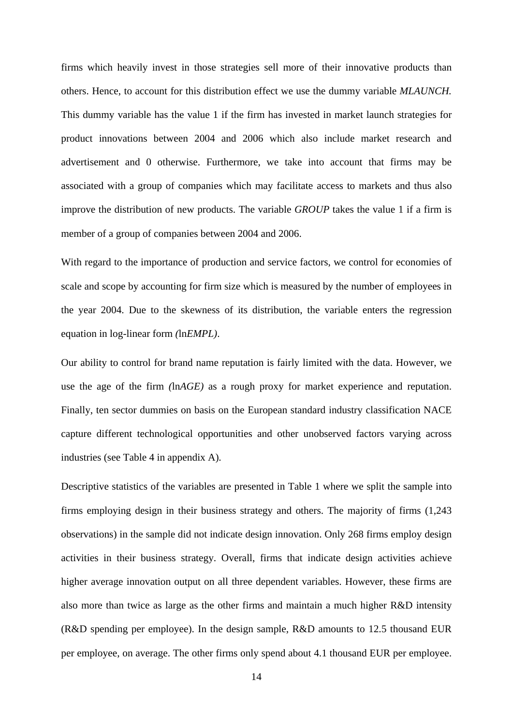firms which heavily invest in those strategies sell more of their innovative products than others. Hence, to account for this distribution effect we use the dummy variable *MLAUNCH.* This dummy variable has the value 1 if the firm has invested in market launch strategies for product innovations between 2004 and 2006 which also include market research and advertisement and 0 otherwise. Furthermore, we take into account that firms may be associated with a group of companies which may facilitate access to markets and thus also improve the distribution of new products. The variable *GROUP* takes the value 1 if a firm is member of a group of companies between 2004 and 2006.

With regard to the importance of production and service factors, we control for economies of scale and scope by accounting for firm size which is measured by the number of employees in the year 2004. Due to the skewness of its distribution, the variable enters the regression equation in log-linear form *(*ln*EMPL)*.

Our ability to control for brand name reputation is fairly limited with the data. However, we use the age of the firm *(*ln*AGE)* as a rough proxy for market experience and reputation. Finally, ten sector dummies on basis on the European standard industry classification NACE capture different technological opportunities and other unobserved factors varying across industries (see Table 4 in appendix A)*.*

Descriptive statistics of the variables are presented in Table 1 where we split the sample into firms employing design in their business strategy and others. The majority of firms (1,243 observations) in the sample did not indicate design innovation. Only 268 firms employ design activities in their business strategy. Overall, firms that indicate design activities achieve higher average innovation output on all three dependent variables. However, these firms are also more than twice as large as the other firms and maintain a much higher R&D intensity (R&D spending per employee). In the design sample, R&D amounts to 12.5 thousand EUR per employee, on average. The other firms only spend about 4.1 thousand EUR per employee.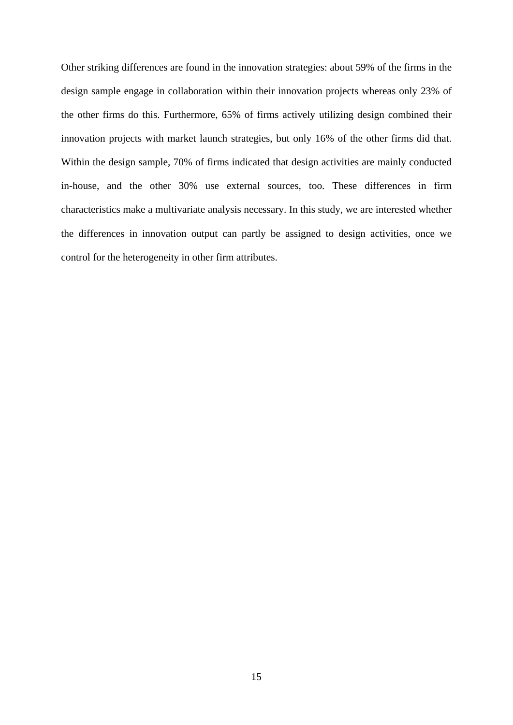Other striking differences are found in the innovation strategies: about 59% of the firms in the design sample engage in collaboration within their innovation projects whereas only 23% of the other firms do this. Furthermore, 65% of firms actively utilizing design combined their innovation projects with market launch strategies, but only 16% of the other firms did that. Within the design sample, 70% of firms indicated that design activities are mainly conducted in-house, and the other 30% use external sources, too. These differences in firm characteristics make a multivariate analysis necessary. In this study, we are interested whether the differences in innovation output can partly be assigned to design activities, once we control for the heterogeneity in other firm attributes.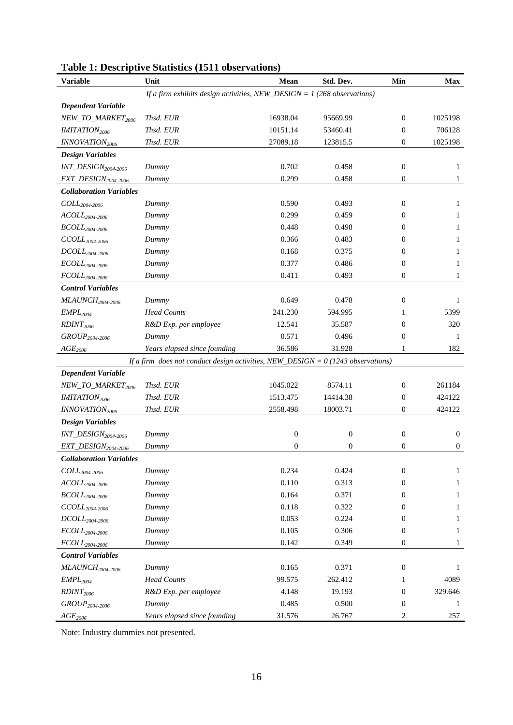| <b>Variable</b>                     | Unit                                                                               | Mean           | Std. Dev.    | Min              | <b>Max</b>   |
|-------------------------------------|------------------------------------------------------------------------------------|----------------|--------------|------------------|--------------|
|                                     | If a firm exhibits design activities, NEW_DESIGN = $1$ (268 observations)          |                |              |                  |              |
| <b>Dependent Variable</b>           |                                                                                    |                |              |                  |              |
| NEW_TO_MARKET <sub>2006</sub>       | Thsd. EUR                                                                          | 16938.04       | 95669.99     | $\mathbf{0}$     | 1025198      |
| <b>IMITATION</b> <sub>2006</sub>    | Thsd. EUR                                                                          | 10151.14       | 53460.41     | $\mathbf{0}$     | 706128       |
| INNOVATION <sub>2006</sub>          | Thsd. EUR                                                                          | 27089.18       | 123815.5     | 0                | 1025198      |
| <b>Design Variables</b>             |                                                                                    |                |              |                  |              |
| INT_DESIGN <sub>2004-2006</sub>     | Dummy                                                                              | 0.702          | 0.458        | $\mathbf{0}$     | 1            |
| EXT_DESIGN <sub>2004-2006</sub>     | Dummy                                                                              | 0.299          | 0.458        | $\mathbf{0}$     | 1            |
| <b>Collaboration Variables</b>      |                                                                                    |                |              |                  |              |
| $COLL_{2004-2006}$                  | Dummy                                                                              | 0.590          | 0.493        | $\mathbf{0}$     | 1            |
| $ACOLL_{2004\text{-}2006}$          | Dummy                                                                              | 0.299          | 0.459        | $\mathbf{0}$     | 1            |
| $BCOLL_{2004\text{-}2006}$          | Dummy                                                                              | 0.448          | 0.498        | 0                | 1            |
| $CCOLL_{2004-2006}$                 | Dummy                                                                              | 0.366          | 0.483        | $\Omega$         | 1            |
| $DCOLL_{2004\text{-}2006}$          | Dummy                                                                              | 0.168          | 0.375        | 0                | 1            |
| $\textit{ECOLL}_{2004\text{-}2006}$ | Dummy                                                                              | 0.377          | 0.486        | $\boldsymbol{0}$ | 1            |
| $FCOLL_{2004-2006}$                 | Dummy                                                                              | 0.411          | 0.493        | $\overline{0}$   | $\mathbf{1}$ |
| <b>Control Variables</b>            |                                                                                    |                |              |                  |              |
| $MLAVNCH2004-2006$                  | Dummy                                                                              | 0.649          | 0.478        | $\mathbf{0}$     | 1            |
| EMPL <sub>2004</sub>                | <b>Head Counts</b>                                                                 | 241.230        | 594.995      | 1                | 5399         |
| RDINT <sub>2006</sub>               | R&D Exp. per employee                                                              | 12.541         | 35.587       | $\mathbf{0}$     | 320          |
| $GROUP_{2004-2006}$                 | Dummy                                                                              | 0.571          | 0.496        | $\mathbf{0}$     | 1            |
| $AGE_{2006}$                        | Years elapsed since founding                                                       | 36.586         | 31.928       | 1                | 182          |
|                                     | If a firm does not conduct design activities, NEW_DESIGN = $0$ (1243 observations) |                |              |                  |              |
| <b>Dependent Variable</b>           |                                                                                    |                |              |                  |              |
| NEW_TO_MARKET2006                   | Thsd. EUR                                                                          | 1045.022       | 8574.11      | $\mathbf{0}$     | 261184       |
| <b>IMITATION</b> <sub>2006</sub>    | Thsd. EUR                                                                          | 1513.475       | 14414.38     | $\boldsymbol{0}$ | 424122       |
| INNOVATION <sub>2006</sub>          | Thsd. EUR                                                                          | 2558.498       | 18003.71     | $\theta$         | 424122       |
| <b>Design Variables</b>             |                                                                                    |                |              |                  |              |
| INT_DESIGN <sub>2004-2006</sub>     | Dummy                                                                              | $\mathbf{0}$   | $\mathbf{0}$ | $\mathbf{0}$     | $\mathbf{0}$ |
| EXT_DESIGN <sub>2004-2006</sub>     | Dummy                                                                              | $\overline{0}$ | 0            | $\mathbf{0}$     | $\mathbf{0}$ |
| <b>Collaboration Variables</b>      |                                                                                    |                |              |                  |              |
| $COLL_{2004\text{-}2006}$           | Dummy                                                                              | 0.234          | 0.424        | $\boldsymbol{0}$ | 1            |
| $ACOLL2004-2006$                    | Dummy                                                                              | 0.110          | 0.313        | $\mathbf{0}$     | 1            |
| $BCOLL_{2004\text{-}2006}$          | Dummy                                                                              | 0.164          | 0.371        | $\mathbf{0}$     | 1            |
| $CCOLL_{2004\text{-}2006}$          | Dummy                                                                              | 0.118          | 0.322        | 0                | 1            |
| $DCOLL_{2004\text{-}2006}$          | Dummy                                                                              | 0.053          | 0.224        | 0                | 1            |
| $\textit{ECOLL}_{2004\text{-}2006}$ | Dummy                                                                              | 0.105          | 0.306        | $\mathbf{0}$     | 1            |
| $FCOLL_{2004\text{-}2006}$          | Dummy                                                                              | 0.142          | 0.349        | $\boldsymbol{0}$ | 1            |
| <b>Control Variables</b>            |                                                                                    |                |              |                  |              |
| $MLAVNCH2004-2006$                  | Dummy                                                                              | 0.165          | 0.371        | $\mathbf{0}$     | 1            |
| EMPL <sub>2004</sub>                | <b>Head Counts</b>                                                                 | 99.575         | 262.412      | 1                | 4089         |
| RDINT <sub>2006</sub>               | R&D Exp. per employee                                                              | 4.148          | 19.193       | $\mathbf{0}$     | 329.646      |
| GROUP <sub>2004-2006</sub>          | Dummy                                                                              | 0.485          | 0.500        | $\mathbf{0}$     | $\mathbf{1}$ |
| AGE <sub>2006</sub>                 | Years elapsed since founding                                                       | 31.576         | 26.767       | 2                | 257          |

### **Table 1: Descriptive Statistics (1511 observations)**

Note: Industry dummies not presented.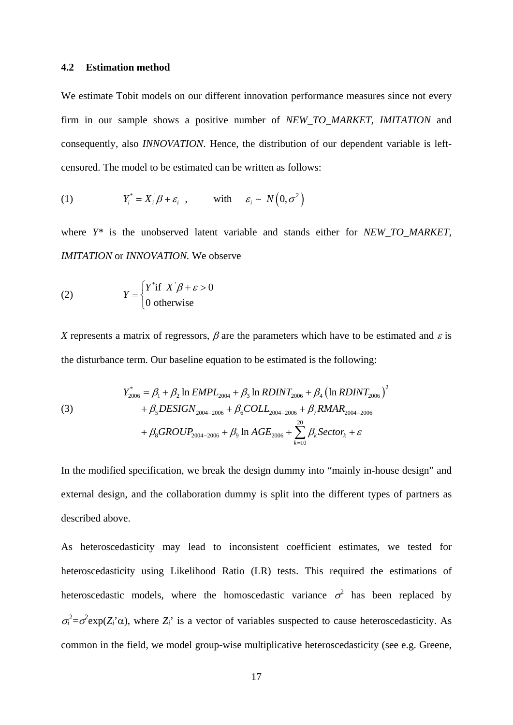#### **4.2 Estimation method**

We estimate Tobit models on our different innovation performance measures since not every firm in our sample shows a positive number of *NEW\_TO\_MARKET*, *IMITATION* and consequently, also *INNOVATION*. Hence, the distribution of our dependent variable is leftcensored. The model to be estimated can be written as follows:

(1) 
$$
Y_i^* = X_i \beta + \varepsilon_i , \quad \text{with} \quad \varepsilon_i \sim N(0, \sigma^2)
$$

where *Y\** is the unobserved latent variable and stands either for *NEW TO MARKET*, *IMITATION* or *INNOVATION.* We observe

(2) 
$$
Y = \begin{cases} Y^* \text{if } X' \beta + \varepsilon > 0 \\ 0 \text{ otherwise} \end{cases}
$$

*X* represents a matrix of regressors,  $\beta$  are the parameters which have to be estimated and  $\varepsilon$  is the disturbance term. Our baseline equation to be estimated is the following:

(3) 
$$
Y_{2006}^{*} = \beta_{1} + \beta_{2} \ln EMPL_{2004} + \beta_{3} \ln RDINT_{2006} + \beta_{4} (\ln RDINT_{2006})^{2} + \beta_{5} DESIGN_{2004-2006} + \beta_{6} COLL_{2004-2006} + \beta_{7} RMAR_{2004-2006} + \beta_{8} GROUP_{2004-2006} + \beta_{9} \ln AGE_{2006} + \sum_{k=10}^{20} \beta_{k} Sector_{k} + \varepsilon
$$

In the modified specification, we break the design dummy into "mainly in-house design" and external design, and the collaboration dummy is split into the different types of partners as described above.

As heteroscedasticity may lead to inconsistent coefficient estimates, we tested for heteroscedasticity using Likelihood Ratio (LR) tests. This required the estimations of heteroscedastic models, where the homoscedastic variance  $\sigma^2$  has been replaced by  $\sigma_i^2 = \sigma^2 \exp(Z_i \alpha)$ , where  $Z_i$  is a vector of variables suspected to cause heteroscedasticity. As common in the field, we model group-wise multiplicative heteroscedasticity (see e.g. Greene,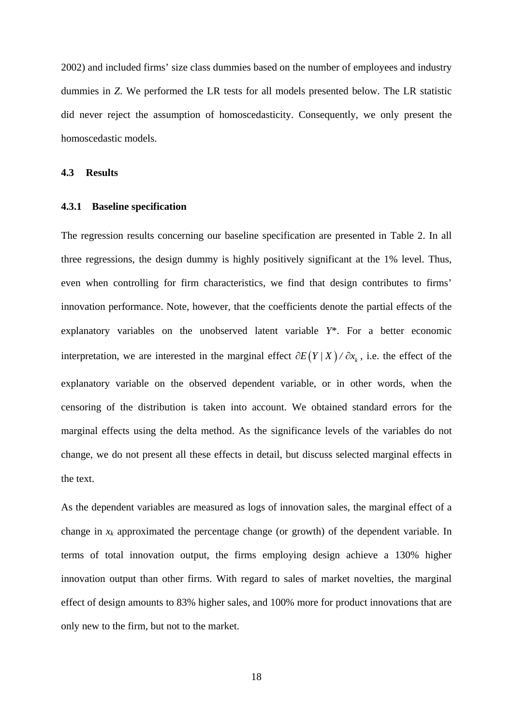2002) and included firms' size class dummies based on the number of employees and industry dummies in *Z*. We performed the LR tests for all models presented below. The LR statistic did never reject the assumption of homoscedasticity. Consequently, we only present the homoscedastic models.

**4.3 Results** 

#### **4.3.1 Baseline specification**

The regression results concerning our baseline specification are presented in Table 2. In all three regressions, the design dummy is highly positively significant at the 1% level. Thus, even when controlling for firm characteristics, we find that design contributes to firms' innovation performance. Note, however, that the coefficients denote the partial effects of the explanatory variables on the unobserved latent variable *Y*\*. For a better economic interpretation, we are interested in the marginal effect  $\partial E(Y/X)/\partial x_k$ , i.e. the effect of the explanatory variable on the observed dependent variable, or in other words, when the censoring of the distribution is taken into account. We obtained standard errors for the marginal effects using the delta method. As the significance levels of the variables do not change, we do not present all these effects in detail, but discuss selected marginal effects in the text.

As the dependent variables are measured as logs of innovation sales, the marginal effect of a change in  $x_k$  approximated the percentage change (or growth) of the dependent variable. In terms of total innovation output, the firms employing design achieve a 130% higher innovation output than other firms. With regard to sales of market novelties, the marginal effect of design amounts to 83% higher sales, and 100% more for product innovations that are only new to the firm, but not to the market.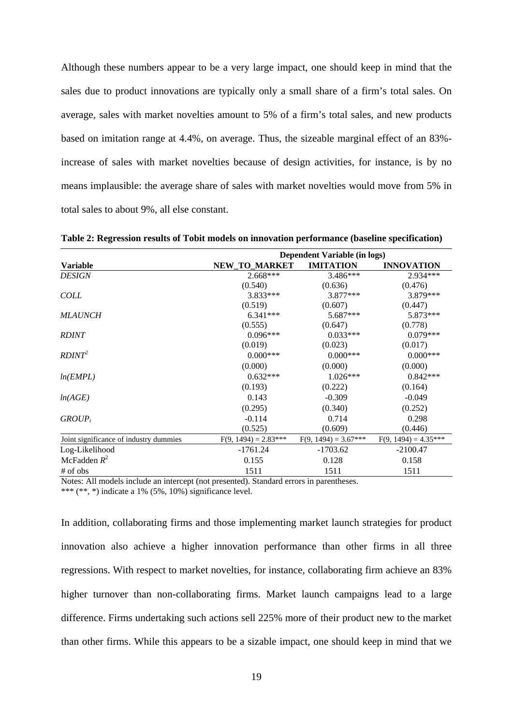Although these numbers appear to be a very large impact, one should keep in mind that the sales due to product innovations are typically only a small share of a firm's total sales. On average, sales with market novelties amount to 5% of a firm's total sales, and new products based on imitation range at 4.4%, on average. Thus, the sizeable marginal effect of an 83% increase of sales with market novelties because of design activities, for instance, is by no means implausible: the average share of sales with market novelties would move from 5% in total sales to about 9%, all else constant.

|                                        | Dependent Variable (in logs) |                        |                        |  |
|----------------------------------------|------------------------------|------------------------|------------------------|--|
| <b>Variable</b>                        | NEW_TO_MARKET                | <b>IMITATION</b>       | <b>INNOVATION</b>      |  |
| <b>DESIGN</b>                          | $2.668***$                   | $3.486***$             | 2.934***               |  |
|                                        | (0.540)                      | (0.636)                | (0.476)                |  |
| <b>COLL</b>                            | $3.833***$                   | $3.877***$             | 3.879***               |  |
|                                        | (0.519)                      | (0.607)                | (0.447)                |  |
| <i>MLAUNCH</i>                         | $6.341***$                   | 5.687***               | 5.873***               |  |
|                                        | (0.555)                      | (0.647)                | (0.778)                |  |
| <b>RDINT</b>                           | $0.096***$                   | $0.033***$             | $0.079***$             |  |
|                                        | (0.019)                      | (0.023)                | (0.017)                |  |
| RDINT <sup>2</sup>                     | $0.000***$                   | $0.000***$             | $0.000***$             |  |
|                                        | (0.000)                      | (0.000)                | (0.000)                |  |
| ln(EMPL)                               | $0.632***$                   | $1.026***$             | $0.842***$             |  |
|                                        | (0.193)                      | (0.222)                | (0.164)                |  |
| ln(AGE)                                | 0.143                        | $-0.309$               | $-0.049$               |  |
|                                        | (0.295)                      | (0.340)                | (0.252)                |  |
| $GROUP_i$                              | $-0.114$                     | 0.714                  | 0.298                  |  |
|                                        | (0.525)                      | (0.609)                | (0.446)                |  |
| Joint significance of industry dummies | $F(9, 1494) = 2.83***$       | $F(9, 1494) = 3.67***$ | $F(9, 1494) = 4.35***$ |  |
| Log-Likelihood                         | $-1761.24$                   | $-1703.62$             | $-2100.47$             |  |
| McFadden $R^2$                         | 0.155                        | 0.128                  | 0.158                  |  |
| # of obs                               | 1511                         | 1511                   | 1511                   |  |

**Table 2: Regression results of Tobit models on innovation performance (baseline specification)** 

Notes: All models include an intercept (not presented). Standard errors in parentheses. \*\*\* (\*\*, \*) indicate a 1%  $(5\%, 10\%)$  significance level.

In addition, collaborating firms and those implementing market launch strategies for product innovation also achieve a higher innovation performance than other firms in all three regressions. With respect to market novelties, for instance, collaborating firm achieve an 83% higher turnover than non-collaborating firms. Market launch campaigns lead to a large difference. Firms undertaking such actions sell 225% more of their product new to the market than other firms. While this appears to be a sizable impact, one should keep in mind that we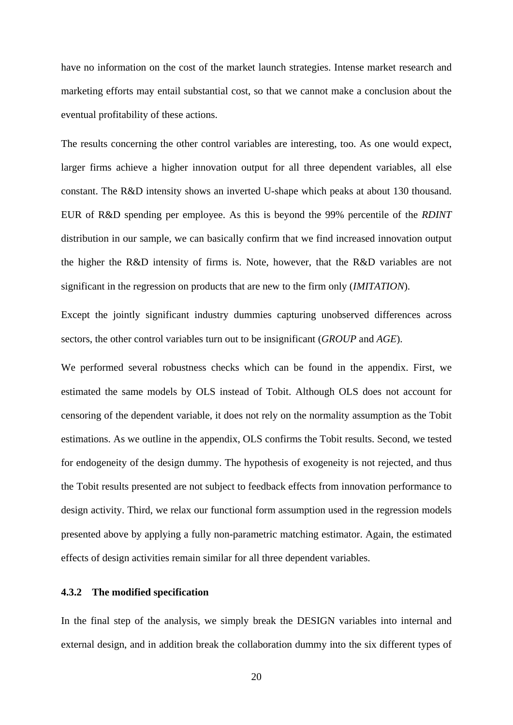have no information on the cost of the market launch strategies. Intense market research and marketing efforts may entail substantial cost, so that we cannot make a conclusion about the eventual profitability of these actions.

The results concerning the other control variables are interesting, too. As one would expect, larger firms achieve a higher innovation output for all three dependent variables, all else constant. The R&D intensity shows an inverted U-shape which peaks at about 130 thousand. EUR of R&D spending per employee. As this is beyond the 99% percentile of the *RDINT* distribution in our sample, we can basically confirm that we find increased innovation output the higher the R&D intensity of firms is. Note, however, that the R&D variables are not significant in the regression on products that are new to the firm only (*IMITATION*).

Except the jointly significant industry dummies capturing unobserved differences across sectors, the other control variables turn out to be insignificant (*GROUP* and *AGE*).

We performed several robustness checks which can be found in the appendix. First, we estimated the same models by OLS instead of Tobit. Although OLS does not account for censoring of the dependent variable, it does not rely on the normality assumption as the Tobit estimations. As we outline in the appendix, OLS confirms the Tobit results. Second, we tested for endogeneity of the design dummy. The hypothesis of exogeneity is not rejected, and thus the Tobit results presented are not subject to feedback effects from innovation performance to design activity. Third, we relax our functional form assumption used in the regression models presented above by applying a fully non-parametric matching estimator. Again, the estimated effects of design activities remain similar for all three dependent variables.

#### **4.3.2 The modified specification**

In the final step of the analysis, we simply break the DESIGN variables into internal and external design, and in addition break the collaboration dummy into the six different types of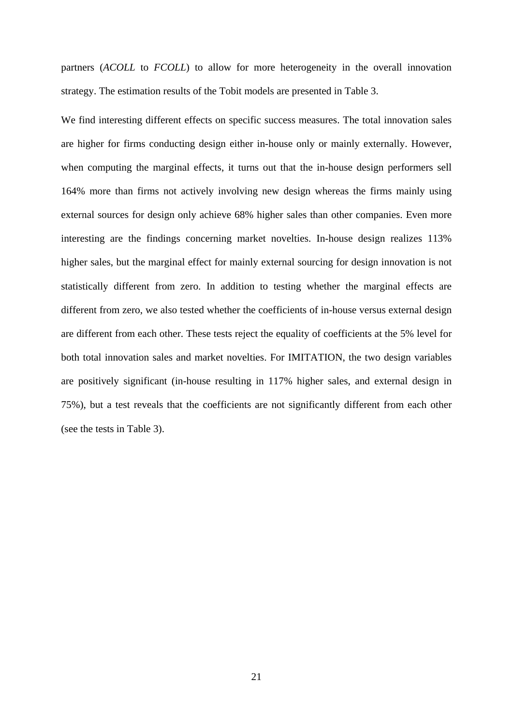partners (*ACOLL* to *FCOLL*) to allow for more heterogeneity in the overall innovation strategy. The estimation results of the Tobit models are presented in Table 3.

We find interesting different effects on specific success measures. The total innovation sales are higher for firms conducting design either in-house only or mainly externally. However, when computing the marginal effects, it turns out that the in-house design performers sell 164% more than firms not actively involving new design whereas the firms mainly using external sources for design only achieve 68% higher sales than other companies. Even more interesting are the findings concerning market novelties. In-house design realizes 113% higher sales, but the marginal effect for mainly external sourcing for design innovation is not statistically different from zero. In addition to testing whether the marginal effects are different from zero, we also tested whether the coefficients of in-house versus external design are different from each other. These tests reject the equality of coefficients at the 5% level for both total innovation sales and market novelties. For IMITATION, the two design variables are positively significant (in-house resulting in 117% higher sales, and external design in 75%), but a test reveals that the coefficients are not significantly different from each other (see the tests in Table 3).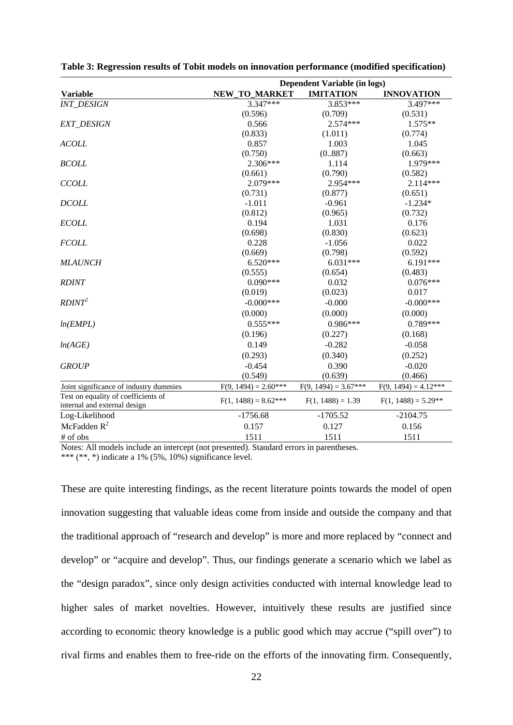|                                        | Dependent Variable (in logs) |                        |                        |  |
|----------------------------------------|------------------------------|------------------------|------------------------|--|
| <b>Variable</b>                        | NEW_TO_MARKET                | <b>IMITATION</b>       | <b>INNOVATION</b>      |  |
| <b>INT_DESIGN</b>                      | 3.347***                     | 3.853***               | 3.497***               |  |
|                                        | (0.596)                      | (0.709)                | (0.531)                |  |
| <b>EXT_DESIGN</b>                      | 0.566                        | $2.574***$             | $1.575**$              |  |
|                                        | (0.833)                      | (1.011)                | (0.774)                |  |
| <b>ACOLL</b>                           | 0.857                        | 1.003                  | 1.045                  |  |
|                                        | (0.750)                      | (0.887)                | (0.663)                |  |
| <b>BCOLL</b>                           | 2.306***                     | 1.114                  | 1.979***               |  |
|                                        | (0.661)                      | (0.790)                | (0.582)                |  |
| <b>CCOLL</b>                           | 2.079***                     | 2.954***               | 2.114***               |  |
|                                        | (0.731)                      | (0.877)                | (0.651)                |  |
| <b>DCOLL</b>                           | $-1.011$                     | $-0.961$               | $-1.234*$              |  |
|                                        | (0.812)                      | (0.965)                | (0.732)                |  |
| <b>ECOLL</b>                           | 0.194                        | 1.031                  | 0.176                  |  |
|                                        | (0.698)                      | (0.830)                | (0.623)                |  |
| <b>FCOLL</b>                           | 0.228                        | $-1.056$               | 0.022                  |  |
|                                        | (0.669)                      | (0.798)                | (0.592)                |  |
| <b>MLAUNCH</b>                         | $6.520***$                   | $6.031***$             | $6.191***$             |  |
|                                        | (0.555)                      | (0.654)                | (0.483)                |  |
| <b>RDINT</b>                           | $0.090***$                   | 0.032                  | $0.076***$             |  |
|                                        | (0.019)                      | (0.023)                | 0.017                  |  |
| RDINT <sup>2</sup>                     | $-0.000$ ***                 | $-0.000$               | $-0.000$ ***           |  |
|                                        | (0.000)                      | (0.000)                | (0.000)                |  |
| ln(EMPL)                               | $0.555***$                   | $0.986***$             | $0.789***$             |  |
|                                        | (0.196)                      | (0.227)                | (0.168)                |  |
| ln(AGE)                                | 0.149                        | $-0.282$               | $-0.058$               |  |
|                                        | (0.293)                      | (0.340)                | (0.252)                |  |
| <b>GROUP</b>                           | $-0.454$                     | 0.390                  | $-0.020$               |  |
|                                        | (0.549)                      | (0.639)                | (0.466)                |  |
| Joint significance of industry dummies | $F(9, 1494) = 2.60***$       | $F(9, 1494) = 3.67***$ | $F(9, 1494) = 4.12***$ |  |
| Test on equality of coefficients of    |                              |                        |                        |  |
| internal and external design           | $F(1, 1488) = 8.62***$       | $F(1, 1488) = 1.39$    | $F(1, 1488) = 5.29**$  |  |
| Log-Likelihood                         | $-1756.68$                   | $-1705.52$             | $-2104.75$             |  |
| McFadden $R^2$                         | 0.157                        | 0.127                  | 0.156                  |  |
| # of obs                               | 1511                         | 1511                   | 1511                   |  |

**Table 3: Regression results of Tobit models on innovation performance (modified specification)** 

Notes: All models include an intercept (not presented). Standard errors in parentheses. \*\*\* (\*\*, \*) indicate a 1%  $(5\%, 10\%)$  significance level.

These are quite interesting findings, as the recent literature points towards the model of open innovation suggesting that valuable ideas come from inside and outside the company and that the traditional approach of "research and develop" is more and more replaced by "connect and develop" or "acquire and develop". Thus, our findings generate a scenario which we label as the "design paradox", since only design activities conducted with internal knowledge lead to higher sales of market novelties. However, intuitively these results are justified since according to economic theory knowledge is a public good which may accrue ("spill over") to rival firms and enables them to free-ride on the efforts of the innovating firm. Consequently,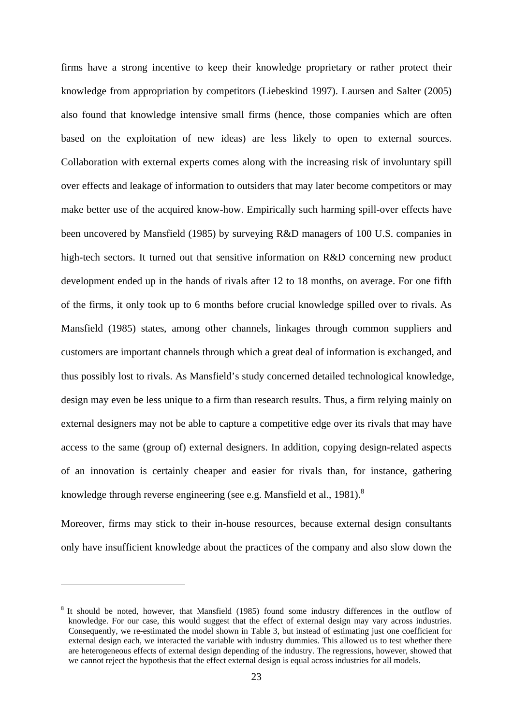firms have a strong incentive to keep their knowledge proprietary or rather protect their knowledge from appropriation by competitors (Liebeskind 1997). Laursen and Salter (2005) also found that knowledge intensive small firms (hence, those companies which are often based on the exploitation of new ideas) are less likely to open to external sources. Collaboration with external experts comes along with the increasing risk of involuntary spill over effects and leakage of information to outsiders that may later become competitors or may make better use of the acquired know-how. Empirically such harming spill-over effects have been uncovered by Mansfield (1985) by surveying R&D managers of 100 U.S. companies in high-tech sectors. It turned out that sensitive information on R&D concerning new product development ended up in the hands of rivals after 12 to 18 months, on average. For one fifth of the firms, it only took up to 6 months before crucial knowledge spilled over to rivals. As Mansfield (1985) states, among other channels, linkages through common suppliers and customers are important channels through which a great deal of information is exchanged, and thus possibly lost to rivals. As Mansfield's study concerned detailed technological knowledge, design may even be less unique to a firm than research results. Thus, a firm relying mainly on external designers may not be able to capture a competitive edge over its rivals that may have access to the same (group of) external designers. In addition, copying design-related aspects of an innovation is certainly cheaper and easier for rivals than, for instance, gathering knowledge through reverse engineering (see e.g. Mansfield et al., 1981).<sup>8</sup>

Moreover, firms may stick to their in-house resources, because external design consultants only have insufficient knowledge about the practices of the company and also slow down the

1

<sup>8</sup> It should be noted, however, that Mansfield (1985) found some industry differences in the outflow of knowledge. For our case, this would suggest that the effect of external design may vary across industries. Consequently, we re-estimated the model shown in Table 3, but instead of estimating just one coefficient for external design each, we interacted the variable with industry dummies. This allowed us to test whether there are heterogeneous effects of external design depending of the industry. The regressions, however, showed that we cannot reject the hypothesis that the effect external design is equal across industries for all models.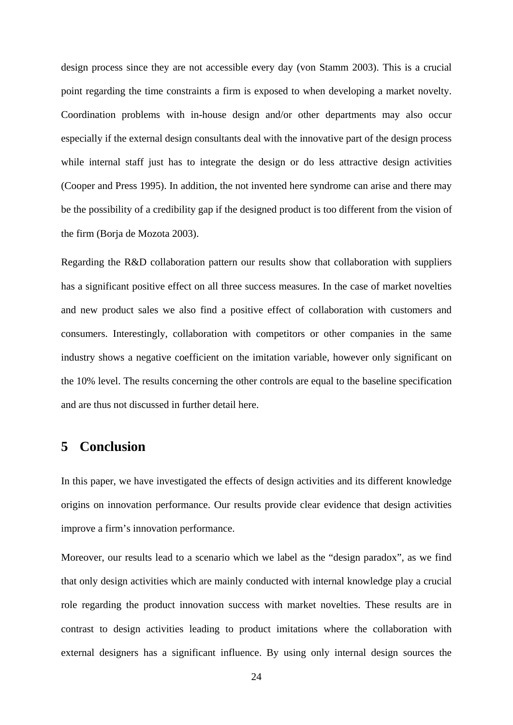design process since they are not accessible every day (von Stamm 2003). This is a crucial point regarding the time constraints a firm is exposed to when developing a market novelty. Coordination problems with in-house design and/or other departments may also occur especially if the external design consultants deal with the innovative part of the design process while internal staff just has to integrate the design or do less attractive design activities (Cooper and Press 1995). In addition, the not invented here syndrome can arise and there may be the possibility of a credibility gap if the designed product is too different from the vision of the firm (Borja de Mozota 2003).

Regarding the R&D collaboration pattern our results show that collaboration with suppliers has a significant positive effect on all three success measures. In the case of market novelties and new product sales we also find a positive effect of collaboration with customers and consumers. Interestingly, collaboration with competitors or other companies in the same industry shows a negative coefficient on the imitation variable, however only significant on the 10% level. The results concerning the other controls are equal to the baseline specification and are thus not discussed in further detail here.

### **5 Conclusion**

In this paper, we have investigated the effects of design activities and its different knowledge origins on innovation performance. Our results provide clear evidence that design activities improve a firm's innovation performance.

Moreover, our results lead to a scenario which we label as the "design paradox", as we find that only design activities which are mainly conducted with internal knowledge play a crucial role regarding the product innovation success with market novelties. These results are in contrast to design activities leading to product imitations where the collaboration with external designers has a significant influence. By using only internal design sources the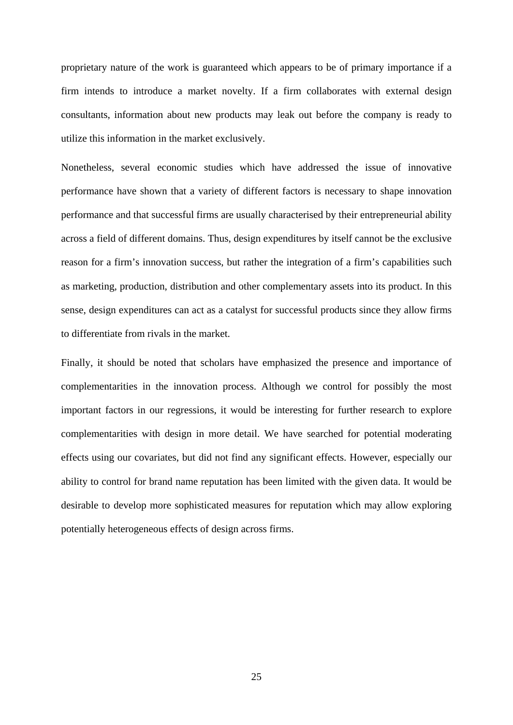proprietary nature of the work is guaranteed which appears to be of primary importance if a firm intends to introduce a market novelty. If a firm collaborates with external design consultants, information about new products may leak out before the company is ready to utilize this information in the market exclusively.

Nonetheless, several economic studies which have addressed the issue of innovative performance have shown that a variety of different factors is necessary to shape innovation performance and that successful firms are usually characterised by their entrepreneurial ability across a field of different domains. Thus, design expenditures by itself cannot be the exclusive reason for a firm's innovation success, but rather the integration of a firm's capabilities such as marketing, production, distribution and other complementary assets into its product. In this sense, design expenditures can act as a catalyst for successful products since they allow firms to differentiate from rivals in the market.

Finally, it should be noted that scholars have emphasized the presence and importance of complementarities in the innovation process. Although we control for possibly the most important factors in our regressions, it would be interesting for further research to explore complementarities with design in more detail. We have searched for potential moderating effects using our covariates, but did not find any significant effects. However, especially our ability to control for brand name reputation has been limited with the given data. It would be desirable to develop more sophisticated measures for reputation which may allow exploring potentially heterogeneous effects of design across firms.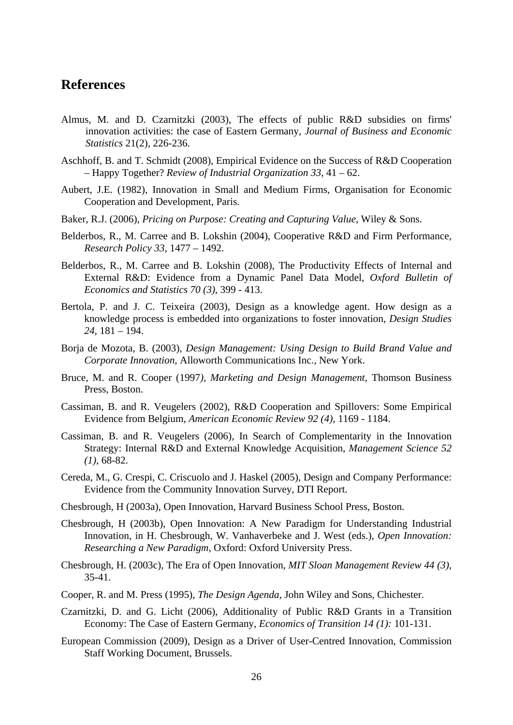### **References**

- Almus, M. and D. Czarnitzki (2003), The effects of public R&D subsidies on firms' innovation activities: the case of Eastern Germany, *Journal of Business and Economic Statistics* 21(2), 226-236.
- Aschhoff, B. and T. Schmidt (2008), Empirical Evidence on the Success of R&D Cooperation – Happy Together? *Review of Industrial Organization 33*, 41 – 62.
- Aubert, J.E. (1982), Innovation in Small and Medium Firms, Organisation for Economic Cooperation and Development, Paris.
- Baker, R.J. (2006), *Pricing on Purpose: Creating and Capturing Value*, Wiley & Sons.
- Belderbos, R., M. Carree and B. Lokshin (2004), Cooperative R&D and Firm Performance, *Research Policy 33*, 1477 – 1492.
- Belderbos, R., M. Carree and B. Lokshin (2008), The Productivity Effects of Internal and External R&D: Evidence from a Dynamic Panel Data Model, *Oxford Bulletin of Economics and Statistics 70 (3)*, 399 - 413.
- Bertola, P. and J. C. Teixeira (2003), Design as a knowledge agent. How design as a knowledge process is embedded into organizations to foster innovation, *Design Studies 24*, 181 – 194.
- Borja de Mozota, B. (2003), *Design Management: Using Design to Build Brand Value and Corporate Innovation*, Alloworth Communications Inc., New York.
- Bruce, M. and R. Cooper (1997*), Marketing and Design Management*, Thomson Business Press, Boston.
- Cassiman, B. and R. Veugelers (2002), R&D Cooperation and Spillovers: Some Empirical Evidence from Belgium, *American Economic Review 92 (4),* 1169 - 1184.
- Cassiman, B. and R. Veugelers (2006), In Search of Complementarity in the Innovation Strategy: Internal R&D and External Knowledge Acquisition, *Management Science 52 (1)*, 68-82.
- Cereda, M., G. Crespi, C. Criscuolo and J. Haskel (2005), Design and Company Performance: Evidence from the Community Innovation Survey, DTI Report.
- Chesbrough, H (2003a), Open Innovation, Harvard Business School Press, Boston.
- Chesbrough, H (2003b), Open Innovation: A New Paradigm for Understanding Industrial Innovation, in H. Chesbrough, W. Vanhaverbeke and J. West (eds.), *Open Innovation: Researching a New Paradigm*, Oxford: Oxford University Press.
- Chesbrough, H. (2003c), The Era of Open Innovation, *MIT Sloan Management Review 44 (3)*, 35-41.
- Cooper, R. and M. Press (1995), *The Design Agenda*, John Wiley and Sons, Chichester.
- Czarnitzki, D. and G. Licht (2006), Additionality of Public R&D Grants in a Transition Economy: The Case of Eastern Germany, *Economics of Transition 14 (1):* 101-131.
- European Commission (2009), Design as a Driver of User-Centred Innovation, Commission Staff Working Document, Brussels.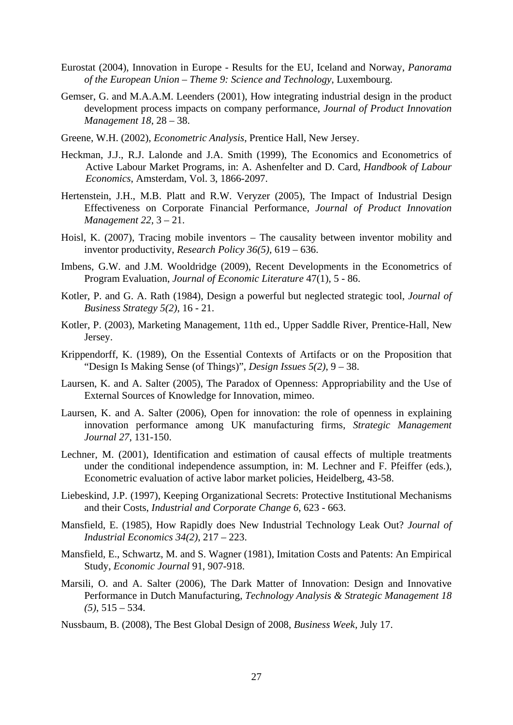- Eurostat (2004), Innovation in Europe Results for the EU, Iceland and Norway, *Panorama of the European Union – Theme 9: Science and Technology*, Luxembourg.
- Gemser, G. and M.A.A.M. Leenders (2001), How integrating industrial design in the product development process impacts on company performance, *Journal of Product Innovation Management 18*, 28 – 38.
- Greene, W.H. (2002), *Econometric Analysis*, Prentice Hall, New Jersey.
- Heckman, J.J., R.J. Lalonde and J.A. Smith (1999), The Economics and Econometrics of Active Labour Market Programs, in: A. Ashenfelter and D. Card, *Handbook of Labour Economics*, Amsterdam, Vol. 3, 1866-2097.
- Hertenstein, J.H., M.B. Platt and R.W. Veryzer (2005), The Impact of Industrial Design Effectiveness on Corporate Financial Performance, *Journal of Product Innovation Management 22*, 3 – 21.
- Hoisl, K. (2007), Tracing mobile inventors The causality between inventor mobility and inventor productivity, *Research Policy 36(5),* 619 – 636.
- Imbens, G.W. and J.M. Wooldridge (2009), Recent Developments in the Econometrics of Program Evaluation, *Journal of Economic Literature* 47(1), 5 - 86.
- Kotler, P. and G. A. Rath (1984), Design a powerful but neglected strategic tool, *Journal of Business Strategy 5(2)*, 16 - 21.
- Kotler, P. (2003), Marketing Management, 11th ed., Upper Saddle River, Prentice-Hall, New Jersey.
- Krippendorff, K. (1989), On the Essential Contexts of Artifacts or on the Proposition that "Design Is Making Sense (of Things)", *Design Issues 5(2)*, 9 – 38.
- Laursen, K. and A. Salter (2005), The Paradox of Openness: Appropriability and the Use of External Sources of Knowledge for Innovation, mimeo.
- Laursen, K. and A. Salter (2006), Open for innovation: the role of openness in explaining innovation performance among UK manufacturing firms, *Strategic Management Journal 27*, 131-150.
- Lechner, M. (2001), Identification and estimation of causal effects of multiple treatments under the conditional independence assumption, in: M. Lechner and F. Pfeiffer (eds.), Econometric evaluation of active labor market policies, Heidelberg, 43-58.
- Liebeskind, J.P. (1997), Keeping Organizational Secrets: Protective Institutional Mechanisms and their Costs, *Industrial and Corporate Change 6*, 623 - 663.
- Mansfield, E. (1985), How Rapidly does New Industrial Technology Leak Out? *Journal of Industrial Economics 34(2)*, 217 – 223.
- Mansfield, E., Schwartz, M. and S. Wagner (1981), Imitation Costs and Patents: An Empirical Study, *Economic Journal* 91, 907-918.
- Marsili, O. and A. Salter (2006), The Dark Matter of Innovation: Design and Innovative Performance in Dutch Manufacturing, *Technology Analysis & Strategic Management 18 (5)*, 515 – 534.
- Nussbaum, B. (2008), The Best Global Design of 2008, *Business Week*, July 17.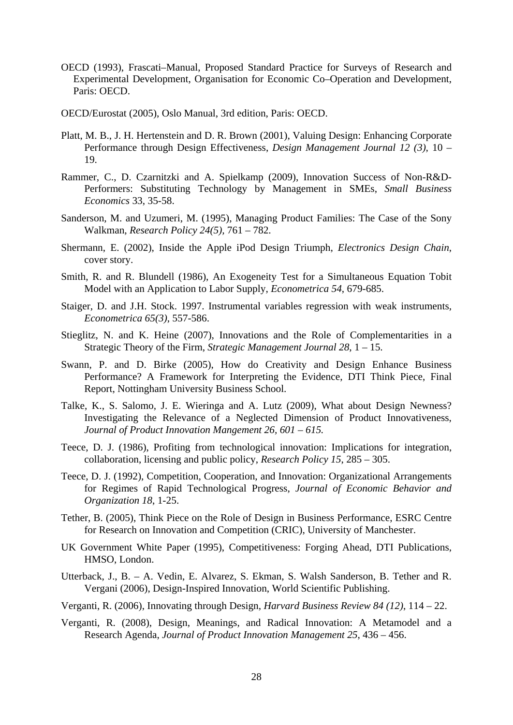- OECD (1993), Frascati–Manual, Proposed Standard Practice for Surveys of Research and Experimental Development, Organisation for Economic Co–Operation and Development, Paris: OECD.
- OECD/Eurostat (2005), Oslo Manual, 3rd edition, Paris: OECD.
- Platt, M. B., J. H. Hertenstein and D. R. Brown (2001), Valuing Design: Enhancing Corporate Performance through Design Effectiveness, *Design Management Journal 12 (3),* 10 – 19.
- Rammer, C., D. Czarnitzki and A. Spielkamp (2009), Innovation Success of Non-R&D-Performers: Substituting Technology by Management in SMEs, *Small Business Economics* 33, 35-58.
- Sanderson, M. and Uzumeri, M. (1995), Managing Product Families: The Case of the Sony Walkman, *Research Policy 24(5),* 761 – 782.
- Shermann, E. (2002), Inside the Apple iPod Design Triumph, *Electronics Design Chain*, cover story.
- Smith, R. and R. Blundell (1986), An Exogeneity Test for a Simultaneous Equation Tobit Model with an Application to Labor Supply, *Econometrica 54*, 679-685.
- Staiger, D. and J.H. Stock. 1997. Instrumental variables regression with weak instruments, *Econometrica 65(3)*, 557-586.
- Stieglitz, N. and K. Heine (2007), Innovations and the Role of Complementarities in a Strategic Theory of the Firm, *Strategic Management Journal 28*, 1 – 15.
- Swann, P. and D. Birke (2005), How do Creativity and Design Enhance Business Performance? A Framework for Interpreting the Evidence, DTI Think Piece, Final Report, Nottingham University Business School.
- Talke, K., S. Salomo, J. E. Wieringa and A. Lutz (2009), What about Design Newness? Investigating the Relevance of a Neglected Dimension of Product Innovativeness, *Journal of Product Innovation Mangement 26, 601 – 615.*
- Teece, D. J. (1986), Profiting from technological innovation: Implications for integration, collaboration, licensing and public policy, *Research Policy 15*, 285 – 305.
- Teece, D. J. (1992), Competition, Cooperation, and Innovation: Organizational Arrangements for Regimes of Rapid Technological Progress, *Journal of Economic Behavior and Organization 18*, 1-25.
- Tether, B. (2005), Think Piece on the Role of Design in Business Performance, ESRC Centre for Research on Innovation and Competition (CRIC), University of Manchester.
- UK Government White Paper (1995), Competitiveness: Forging Ahead, DTI Publications, HMSO, London.
- Utterback, J., B. A. Vedin, E. Alvarez, S. Ekman, S. Walsh Sanderson, B. Tether and R. Vergani (2006), Design-Inspired Innovation, World Scientific Publishing.
- Verganti, R. (2006), Innovating through Design, *Harvard Business Review 84 (12)*, 114 22.
- Verganti, R. (2008), Design, Meanings, and Radical Innovation: A Metamodel and a Research Agenda, *Journal of Product Innovation Management 25*, 436 – 456.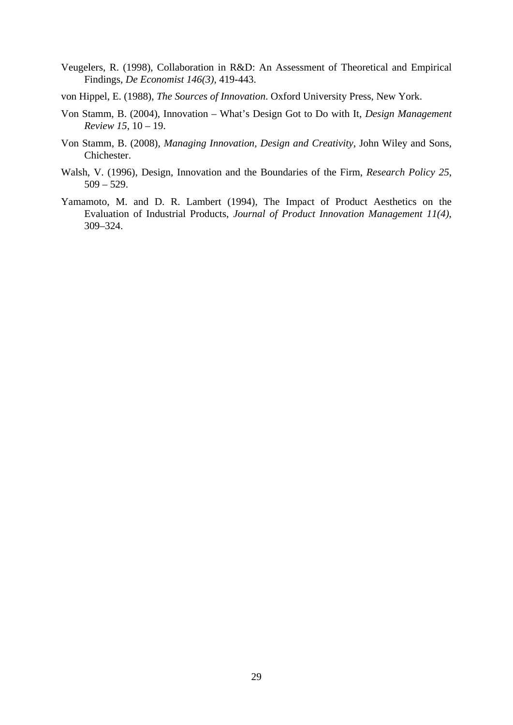- Veugelers, R. (1998), Collaboration in R&D: An Assessment of Theoretical and Empirical Findings, *De Economist 146(3),* 419-443.
- von Hippel, E. (1988), *The Sources of Innovation*. Oxford University Press, New York.
- Von Stamm, B. (2004), Innovation What's Design Got to Do with It, *Design Management Review 15*, 10 – 19.
- Von Stamm, B. (2008), *Managing Innovation, Design and Creativity*, John Wiley and Sons, Chichester.
- Walsh, V. (1996), Design, Innovation and the Boundaries of the Firm, *Research Policy 25*,  $509 - 529.$
- Yamamoto, M. and D. R. Lambert (1994), The Impact of Product Aesthetics on the Evaluation of Industrial Products, *Journal of Product Innovation Management 11(4)*, 309–324.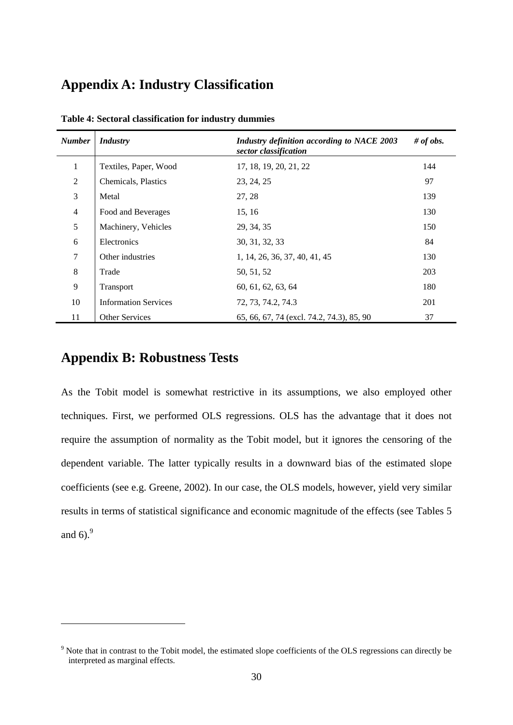## **Appendix A: Industry Classification**

| <b>Number</b>  | <b>Industry</b>             | Industry definition according to NACE 2003<br>sector classification | # of obs. |
|----------------|-----------------------------|---------------------------------------------------------------------|-----------|
| 1              | Textiles, Paper, Wood       | 17, 18, 19, 20, 21, 22                                              | 144       |
| $\overline{2}$ | Chemicals, Plastics         | 23, 24, 25                                                          | 97        |
| 3              | Metal                       | 27, 28                                                              | 139       |
| $\overline{4}$ | Food and Beverages          | 15, 16                                                              | 130       |
| 5              | Machinery, Vehicles         | 29, 34, 35                                                          | 150       |
| 6              | Electronics                 | 30, 31, 32, 33                                                      | 84        |
| 7              | Other industries            | 1, 14, 26, 36, 37, 40, 41, 45                                       | 130       |
| 8              | Trade                       | 50, 51, 52                                                          | 203       |
| 9              | Transport                   | 60, 61, 62, 63, 64                                                  | 180       |
| 10             | <b>Information Services</b> | 72, 73, 74.2, 74.3                                                  | 201       |
| 11             | <b>Other Services</b>       | 65, 66, 67, 74 (excl. 74.2, 74.3), 85, 90                           | 37        |

**Table 4: Sectoral classification for industry dummies** 

### **Appendix B: Robustness Tests**

1

As the Tobit model is somewhat restrictive in its assumptions, we also employed other techniques. First, we performed OLS regressions. OLS has the advantage that it does not require the assumption of normality as the Tobit model, but it ignores the censoring of the dependent variable. The latter typically results in a downward bias of the estimated slope coefficients (see e.g. Greene, 2002). In our case, the OLS models, however, yield very similar results in terms of statistical significance and economic magnitude of the effects (see Tables 5 and  $6$ ).<sup>9</sup>

<sup>&</sup>lt;sup>9</sup> Note that in contrast to the Tobit model, the estimated slope coefficients of the OLS regressions can directly be interpreted as marginal effects.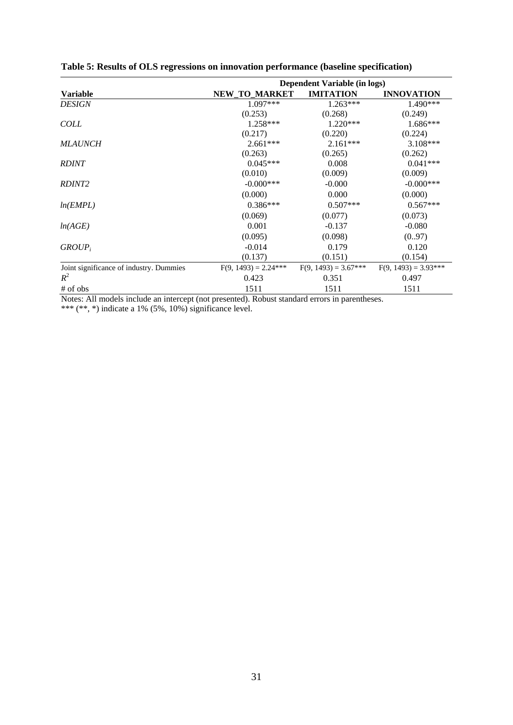|                                         | Dependent Variable (in logs) |                        |                        |  |  |
|-----------------------------------------|------------------------------|------------------------|------------------------|--|--|
| <b>Variable</b>                         | <b>NEW TO MARKET</b>         | <b>IMITATION</b>       | <b>INNOVATION</b>      |  |  |
| <b>DESIGN</b>                           | 1.097***                     | $1.263***$             | $1.490***$             |  |  |
|                                         | (0.253)                      | (0.268)                | (0.249)                |  |  |
| <b>COLL</b>                             | $1.258***$                   | $1.220***$             | $1.686***$             |  |  |
|                                         | (0.217)                      | (0.220)                | (0.224)                |  |  |
| <b>MLAUNCH</b>                          | $2.661***$                   | $2.161***$             | $3.108***$             |  |  |
|                                         | (0.263)                      | (0.265)                | (0.262)                |  |  |
| <b>RDINT</b>                            | $0.045***$                   | 0.008                  | $0.041***$             |  |  |
|                                         | (0.010)                      | (0.009)                | (0.009)                |  |  |
| <i>RDINT2</i>                           | $-0.000$ ***                 | $-0.000$               | $-0.000$ ***           |  |  |
|                                         | (0.000)                      | 0.000                  | (0.000)                |  |  |
| ln(EMPL)                                | $0.386***$                   | $0.507***$             | $0.567***$             |  |  |
|                                         | (0.069)                      | (0.077)                | (0.073)                |  |  |
| ln(AGE)                                 | 0.001                        | $-0.137$               | $-0.080$               |  |  |
|                                         | (0.095)                      | (0.098)                | (0.97)                 |  |  |
| $GROUP_i$                               | $-0.014$                     | 0.179                  | 0.120                  |  |  |
|                                         | (0.137)                      | (0.151)                | (0.154)                |  |  |
| Joint significance of industry. Dummies | $F(9, 1493) = 2.24***$       | $F(9, 1493) = 3.67***$ | $F(9, 1493) = 3.93***$ |  |  |
| $R^2$                                   | 0.423                        | 0.351                  | 0.497                  |  |  |
| $#$ of obs                              | 1511                         | 1511                   | 1511                   |  |  |

|  |  |  |  | Table 5: Results of OLS regressions on innovation performance (baseline specification) |
|--|--|--|--|----------------------------------------------------------------------------------------|
|  |  |  |  |                                                                                        |

Notes: All models include an intercept (not presented). Robust standard errors in parentheses. \*\*\* (\*\*, \*) indicate a  $1\%$  (5%,  $10\%$ ) significance level.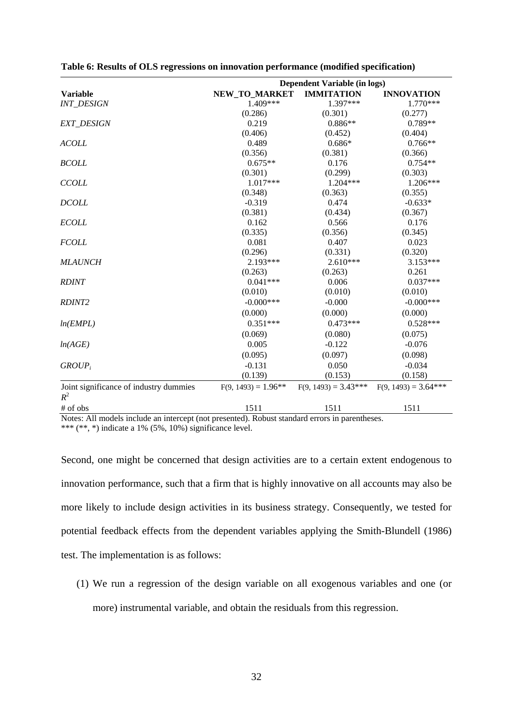|                                                 | <b>Dependent Variable (in logs)</b> |                        |                        |  |
|-------------------------------------------------|-------------------------------------|------------------------|------------------------|--|
| <b>Variable</b>                                 | NEW_TO_MARKET                       | <b>IMMITATION</b>      | <b>INNOVATION</b>      |  |
| <b>INT DESIGN</b>                               | 1.409***                            | 1.397***               | $1.770***$             |  |
|                                                 | (0.286)                             | (0.301)                | (0.277)                |  |
| <b>EXT_DESIGN</b>                               | 0.219                               | $0.886**$              | $0.789**$              |  |
|                                                 | (0.406)                             | (0.452)                | (0.404)                |  |
| <b>ACOLL</b>                                    | 0.489                               | $0.686*$               | $0.766**$              |  |
|                                                 | (0.356)                             | (0.381)                | (0.366)                |  |
| <b>BCOLL</b>                                    | $0.675**$                           | 0.176                  | $0.754**$              |  |
|                                                 | (0.301)                             | (0.299)                | (0.303)                |  |
| <b>CCOLL</b>                                    | 1.017***                            | 1.204***               | 1.206***               |  |
|                                                 | (0.348)                             | (0.363)                | (0.355)                |  |
| <b>DCOLL</b>                                    | $-0.319$                            | 0.474                  | $-0.633*$              |  |
|                                                 | (0.381)                             | (0.434)                | (0.367)                |  |
| <b>ECOLL</b>                                    | 0.162                               | 0.566                  | 0.176                  |  |
|                                                 | (0.335)                             | (0.356)                | (0.345)                |  |
| <b>FCOLL</b>                                    | 0.081                               | 0.407                  | 0.023                  |  |
|                                                 | (0.296)                             | (0.331)                | (0.320)                |  |
| <b>MLAUNCH</b>                                  | $2.193***$                          | $2.610***$             | $3.153***$             |  |
|                                                 | (0.263)                             | (0.263)                | 0.261                  |  |
| <b>RDINT</b>                                    | $0.041***$                          | 0.006                  | $0.037***$             |  |
|                                                 | (0.010)                             | (0.010)                | (0.010)                |  |
| RDINT <sub>2</sub>                              | $-0.000$ ***                        | $-0.000$               | $-0.000$ ***           |  |
|                                                 | (0.000)                             | (0.000)                | (0.000)                |  |
| ln(EMPL)                                        | $0.351***$                          | $0.473***$             | $0.528***$             |  |
|                                                 | (0.069)                             | (0.080)                | (0.075)                |  |
| ln(AGE)                                         | 0.005                               | $-0.122$               | $-0.076$               |  |
|                                                 | (0.095)                             | (0.097)                | (0.098)                |  |
| $GROUP_i$                                       | $-0.131$                            | 0.050                  | $-0.034$               |  |
|                                                 | (0.139)                             | (0.153)                | (0.158)                |  |
| Joint significance of industry dummies<br>$R^2$ | $F(9, 1493) = 1.96**$               | $F(9, 1493) = 3.43***$ | $F(9, 1493) = 3.64***$ |  |
|                                                 |                                     |                        |                        |  |
| # of obs                                        | 1511                                | 1511                   | 1511                   |  |

| Table 6: Results of OLS regressions on innovation performance (modified specification) |
|----------------------------------------------------------------------------------------|
|                                                                                        |

Notes: All models include an intercept (not presented). Robust standard errors in parentheses. \*\*\* (\*\*, \*) indicate a 1% (5%, 10%) significance level.

Second, one might be concerned that design activities are to a certain extent endogenous to innovation performance, such that a firm that is highly innovative on all accounts may also be more likely to include design activities in its business strategy. Consequently, we tested for potential feedback effects from the dependent variables applying the Smith-Blundell (1986) test. The implementation is as follows:

(1) We run a regression of the design variable on all exogenous variables and one (or more) instrumental variable, and obtain the residuals from this regression.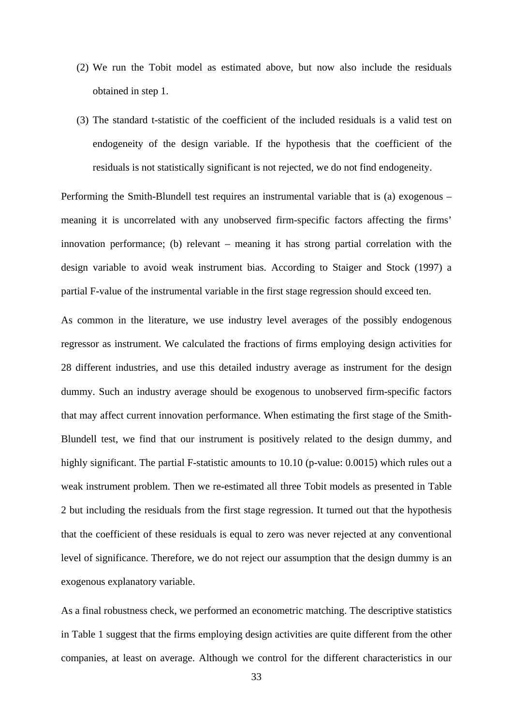- (2) We run the Tobit model as estimated above, but now also include the residuals obtained in step 1.
- (3) The standard t-statistic of the coefficient of the included residuals is a valid test on endogeneity of the design variable. If the hypothesis that the coefficient of the residuals is not statistically significant is not rejected, we do not find endogeneity.

Performing the Smith-Blundell test requires an instrumental variable that is (a) exogenous – meaning it is uncorrelated with any unobserved firm-specific factors affecting the firms' innovation performance; (b) relevant – meaning it has strong partial correlation with the design variable to avoid weak instrument bias. According to Staiger and Stock (1997) a partial F-value of the instrumental variable in the first stage regression should exceed ten.

As common in the literature, we use industry level averages of the possibly endogenous regressor as instrument. We calculated the fractions of firms employing design activities for 28 different industries, and use this detailed industry average as instrument for the design dummy. Such an industry average should be exogenous to unobserved firm-specific factors that may affect current innovation performance. When estimating the first stage of the Smith-Blundell test, we find that our instrument is positively related to the design dummy, and highly significant. The partial F-statistic amounts to 10.10 (p-value: 0.0015) which rules out a weak instrument problem. Then we re-estimated all three Tobit models as presented in Table 2 but including the residuals from the first stage regression. It turned out that the hypothesis that the coefficient of these residuals is equal to zero was never rejected at any conventional level of significance. Therefore, we do not reject our assumption that the design dummy is an exogenous explanatory variable.

As a final robustness check, we performed an econometric matching. The descriptive statistics in Table 1 suggest that the firms employing design activities are quite different from the other companies, at least on average. Although we control for the different characteristics in our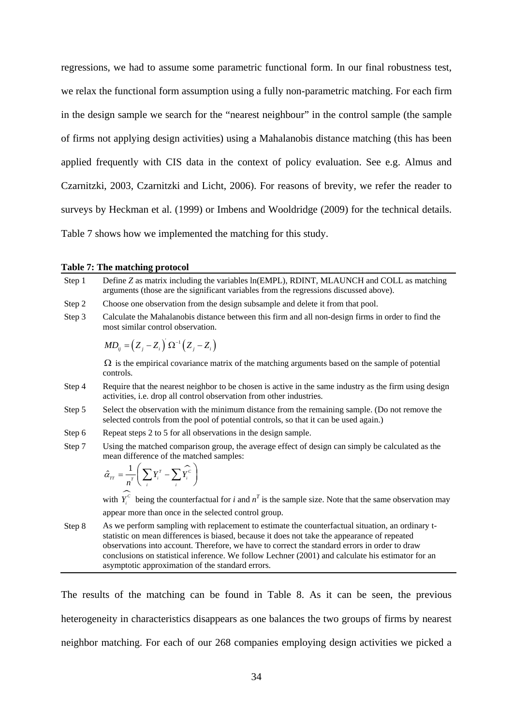regressions, we had to assume some parametric functional form. In our final robustness test, we relax the functional form assumption using a fully non-parametric matching. For each firm in the design sample we search for the "nearest neighbour" in the control sample (the sample of firms not applying design activities) using a Mahalanobis distance matching (this has been applied frequently with CIS data in the context of policy evaluation. See e.g. Almus and Czarnitzki, 2003, Czarnitzki and Licht, 2006). For reasons of brevity, we refer the reader to surveys by Heckman et al. (1999) or Imbens and Wooldridge (2009) for the technical details. Table 7 shows how we implemented the matching for this study.

#### **Table 7: The matching protocol**

| Step 1 | Define Z as matrix including the variables ln(EMPL), RDINT, MLAUNCH and COLL as matching<br>arguments (those are the significant variables from the regressions discussed above).                                                                                                                                                                                                                                                                          |
|--------|------------------------------------------------------------------------------------------------------------------------------------------------------------------------------------------------------------------------------------------------------------------------------------------------------------------------------------------------------------------------------------------------------------------------------------------------------------|
| Step 2 | Choose one observation from the design subsample and delete it from that pool.                                                                                                                                                                                                                                                                                                                                                                             |
| Step 3 | Calculate the Mahalanobis distance between this firm and all non-design firms in order to find the<br>most similar control observation.                                                                                                                                                                                                                                                                                                                    |
|        | $MD_{ii} = (Z_i - Z_i) \Omega^{-1} (Z_i - Z_i)$                                                                                                                                                                                                                                                                                                                                                                                                            |
|        | $\Omega$ is the empirical covariance matrix of the matching arguments based on the sample of potential<br>controls.                                                                                                                                                                                                                                                                                                                                        |
| Step 4 | Require that the nearest neighbor to be chosen is active in the same industry as the firm using design<br>activities, i.e. drop all control observation from other industries.                                                                                                                                                                                                                                                                             |
| Step 5 | Select the observation with the minimum distance from the remaining sample. (Do not remove the<br>selected controls from the pool of potential controls, so that it can be used again.)                                                                                                                                                                                                                                                                    |
| Step 6 | Repeat steps 2 to 5 for all observations in the design sample.                                                                                                                                                                                                                                                                                                                                                                                             |
| Step 7 | Using the matched comparison group, the average effect of design can simply be calculated as the<br>mean difference of the matched samples:                                                                                                                                                                                                                                                                                                                |
|        | $\hat{\alpha}_{rr} = \frac{1}{n^r} \left( \sum_i Y_i^r - \sum_i \hat{Y}_i^c \right)$                                                                                                                                                                                                                                                                                                                                                                       |
|        | with $Y_i^c$ being the counterfactual for i and $n^T$ is the sample size. Note that the same observation may                                                                                                                                                                                                                                                                                                                                               |
|        | appear more than once in the selected control group.                                                                                                                                                                                                                                                                                                                                                                                                       |
| Step 8 | As we perform sampling with replacement to estimate the counterfactual situation, an ordinary t-<br>statistic on mean differences is biased, because it does not take the appearance of repeated<br>observations into account. Therefore, we have to correct the standard errors in order to draw<br>conclusions on statistical inference. We follow Lechner (2001) and calculate his estimator for an<br>asymptotic approximation of the standard errors. |

The results of the matching can be found in Table 8. As it can be seen, the previous heterogeneity in characteristics disappears as one balances the two groups of firms by nearest neighbor matching. For each of our 268 companies employing design activities we picked a